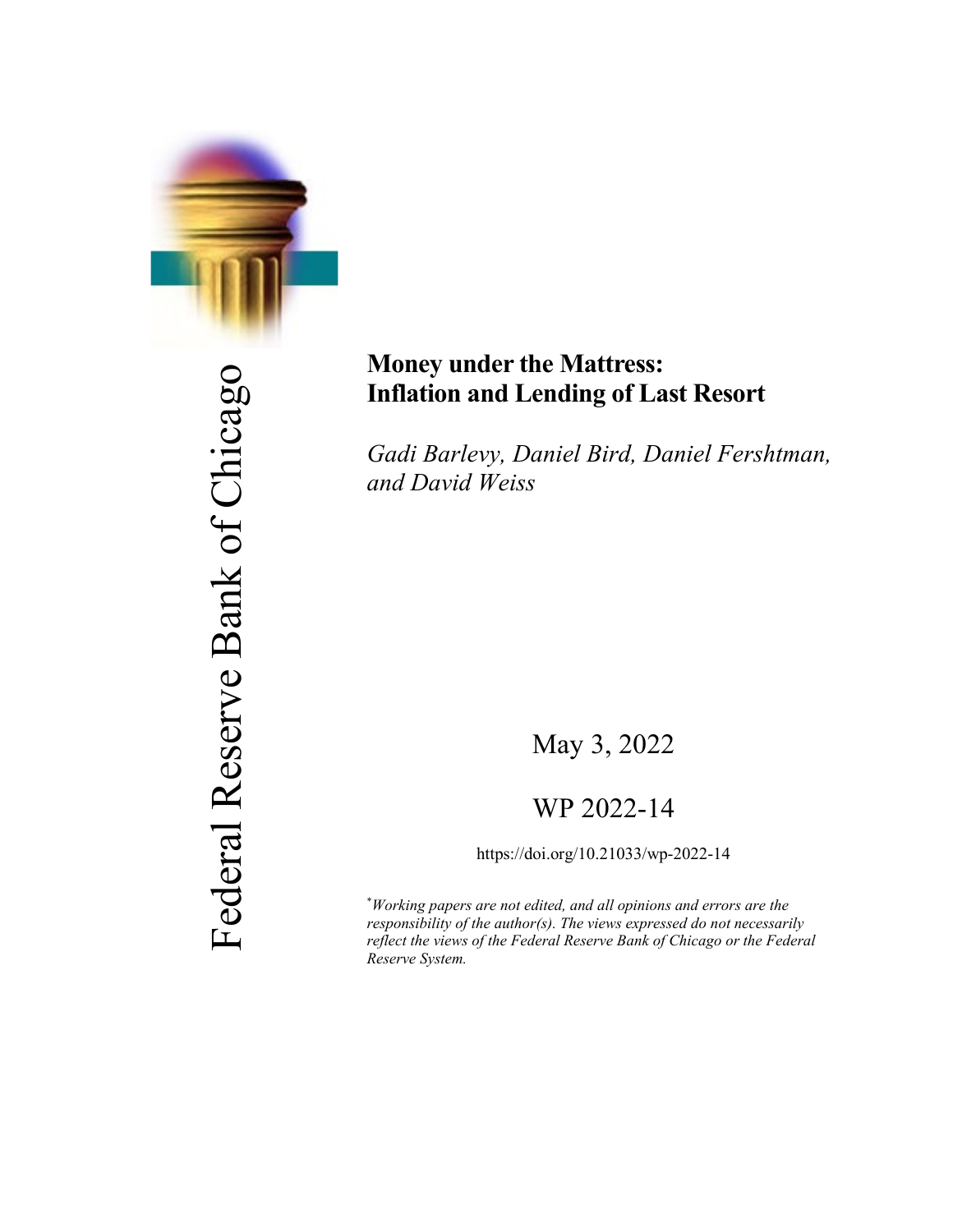

Federal Reserve Bank of Chicago Federal Reserve Bank of Chicago

# **Money under the Mattress: Inflation and Lending of Last Resort**

*Gadi Barlevy, Daniel Bird, Daniel Fershtman, and David Weiss*

May 3, 2022

# WP 2022-14

https://doi.org/10.21033/wp-2022-14

\* *Working papers are not edited, and all opinions and errors are the responsibility of the author(s). The views expressed do not necessarily reflect the views of the Federal Reserve Bank of Chicago or the Federal Reserve System.*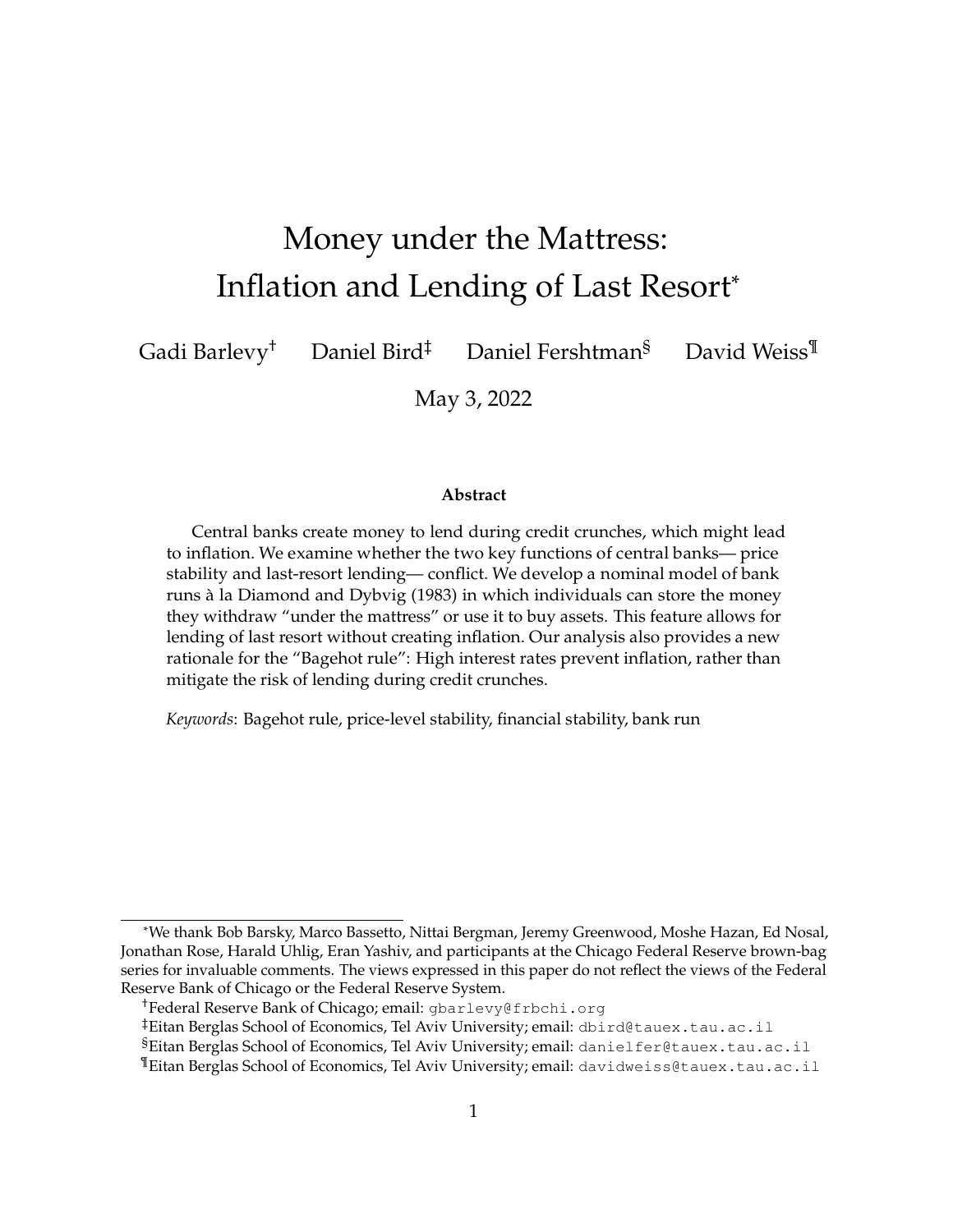# Money under the Mattress: Inflation and Lending of Last Resort\*

Gadi Barlevy† Daniel Bird‡ Daniel Fershtman§ David Weiss¶

May 3, 2022

#### **Abstract**

Central banks create money to lend during credit crunches, which might lead to inflation. We examine whether the two key functions of central banks— price stability and last-resort lending— conflict. We develop a nominal model of bank runs à la [Diamond](#page-29-0) and Dybvig [\(1983\)](#page-29-0) in which individuals can store the money they withdraw "under the mattress" or use it to buy assets. This feature allows for lending of last resort without creating inflation. Our analysis also provides a new rationale for the "Bagehot rule": High interest rates prevent inflation, rather than mitigate the risk of lending during credit crunches.

*Keywords*: Bagehot rule, price-level stability, financial stability, bank run

<sup>\*</sup>We thank Bob Barsky, Marco Bassetto, Nittai Bergman, Jeremy Greenwood, Moshe Hazan, Ed Nosal, Jonathan Rose, Harald Uhlig, Eran Yashiv, and participants at the Chicago Federal Reserve brown-bag series for invaluable comments. The views expressed in this paper do not reflect the views of the Federal Reserve Bank of Chicago or the Federal Reserve System.

<sup>†</sup>Federal Reserve Bank of Chicago; email: gbarlevy@frbchi.org

<sup>‡</sup>Eitan Berglas School of Economics, Tel Aviv University; email: dbird@tauex.tau.ac.il

<sup>§</sup>Eitan Berglas School of Economics, Tel Aviv University; email: danielfer@tauex.tau.ac.il

<sup>¶</sup>Eitan Berglas School of Economics, Tel Aviv University; email: davidweiss@tauex.tau.ac.il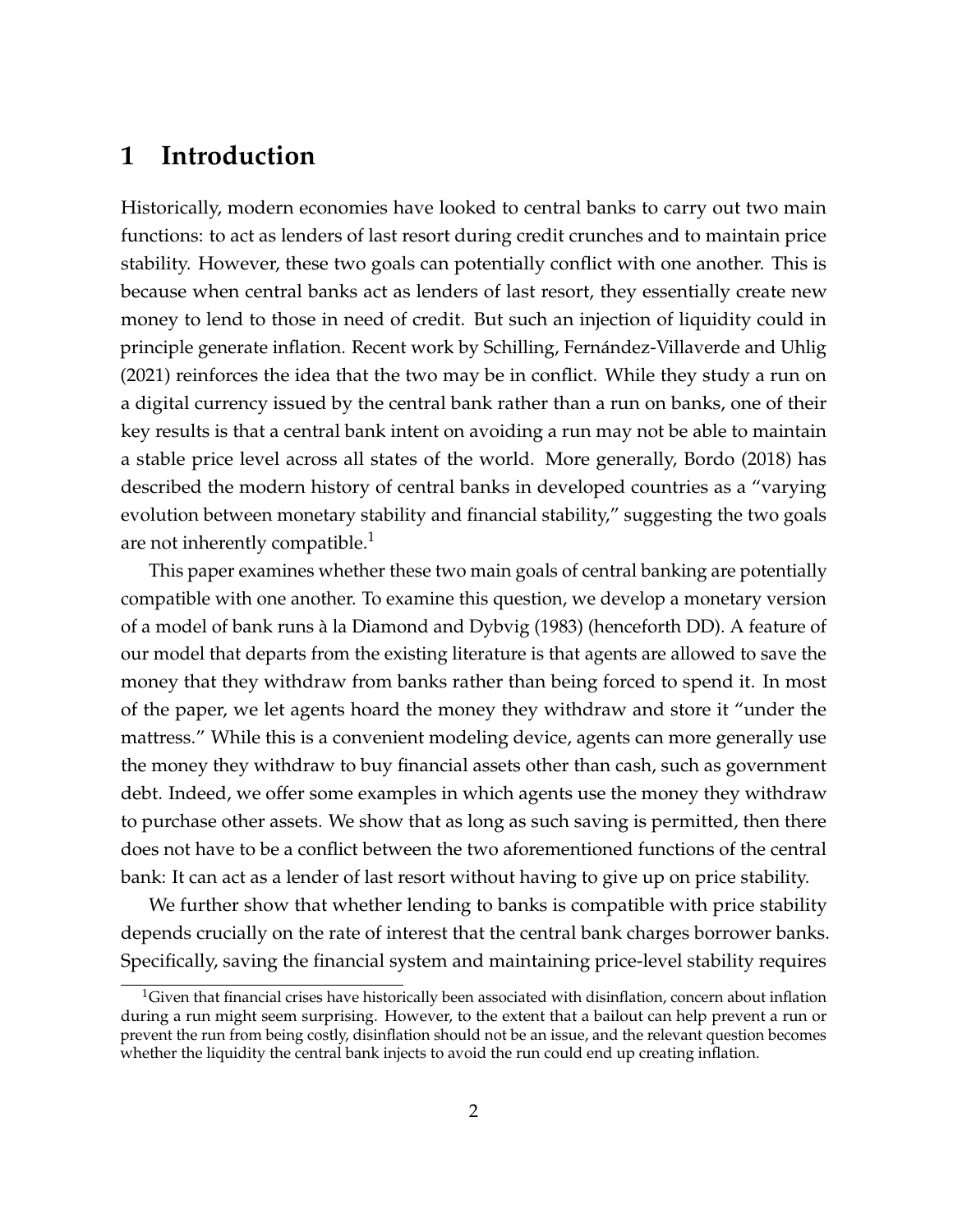# **1 Introduction**

Historically, modern economies have looked to central banks to carry out two main functions: to act as lenders of last resort during credit crunches and to maintain price stability. However, these two goals can potentially conflict with one another. This is because when central banks act as lenders of last resort, they essentially create new money to lend to those in need of credit. But such an injection of liquidity could in principle generate inflation. Recent work by [Schilling, Fernández-Villaverde and Uhlig](#page-29-1) [\(2021\)](#page-29-1) reinforces the idea that the two may be in conflict. While they study a run on a digital currency issued by the central bank rather than a run on banks, one of their key results is that a central bank intent on avoiding a run may not be able to maintain a stable price level across all states of the world. More generally, [Bordo](#page-28-0) [\(2018\)](#page-28-0) has described the modern history of central banks in developed countries as a "varying evolution between monetary stability and financial stability," suggesting the two goals are not inherently compatible.<sup>[1](#page-2-0)</sup>

This paper examines whether these two main goals of central banking are potentially compatible with one another. To examine this question, we develop a monetary version of a model of bank runs à la [Diamond and Dybvig](#page-29-0) [\(1983\)](#page-29-0) (henceforth DD). A feature of our model that departs from the existing literature is that agents are allowed to save the money that they withdraw from banks rather than being forced to spend it. In most of the paper, we let agents hoard the money they withdraw and store it "under the mattress." While this is a convenient modeling device, agents can more generally use the money they withdraw to buy financial assets other than cash, such as government debt. Indeed, we offer some examples in which agents use the money they withdraw to purchase other assets. We show that as long as such saving is permitted, then there does not have to be a conflict between the two aforementioned functions of the central bank: It can act as a lender of last resort without having to give up on price stability.

We further show that whether lending to banks is compatible with price stability depends crucially on the rate of interest that the central bank charges borrower banks. Specifically, saving the financial system and maintaining price-level stability requires

<span id="page-2-0"></span> ${}^{1}$ Given that financial crises have historically been associated with disinflation, concern about inflation during a run might seem surprising. However, to the extent that a bailout can help prevent a run or prevent the run from being costly, disinflation should not be an issue, and the relevant question becomes whether the liquidity the central bank injects to avoid the run could end up creating inflation.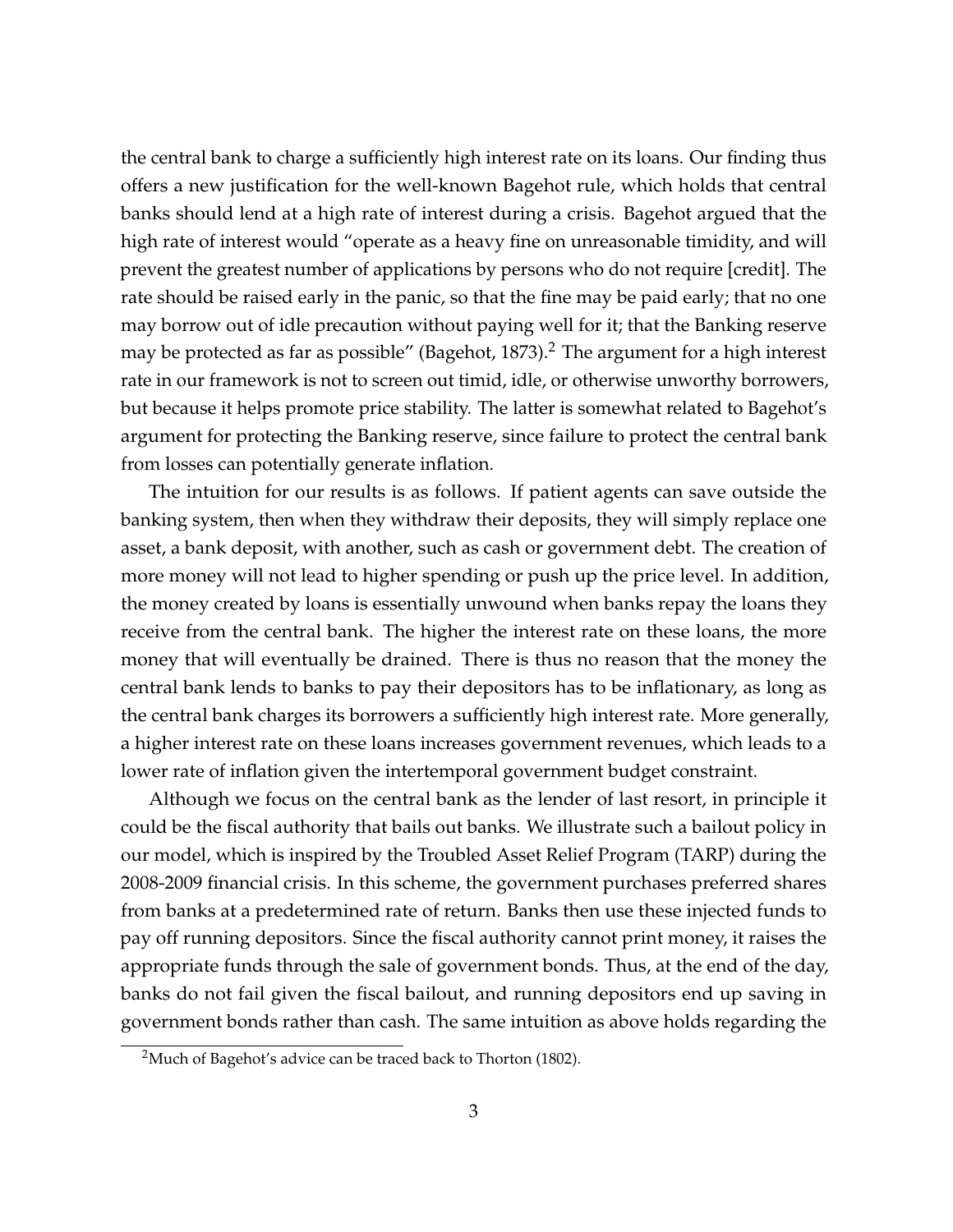the central bank to charge a sufficiently high interest rate on its loans. Our finding thus offers a new justification for the well-known Bagehot rule, which holds that central banks should lend at a high rate of interest during a crisis. Bagehot argued that the high rate of interest would "operate as a heavy fine on unreasonable timidity, and will prevent the greatest number of applications by persons who do not require [credit]. The rate should be raised early in the panic, so that the fine may be paid early; that no one may borrow out of idle precaution without paying well for it; that the Banking reserve may be protected as far as possible" [\(Bagehot,](#page-28-1)  $1873$ ).<sup>[2](#page-3-0)</sup> The argument for a high interest rate in our framework is not to screen out timid, idle, or otherwise unworthy borrowers, but because it helps promote price stability. The latter is somewhat related to Bagehot's argument for protecting the Banking reserve, since failure to protect the central bank from losses can potentially generate inflation.

The intuition for our results is as follows. If patient agents can save outside the banking system, then when they withdraw their deposits, they will simply replace one asset, a bank deposit, with another, such as cash or government debt. The creation of more money will not lead to higher spending or push up the price level. In addition, the money created by loans is essentially unwound when banks repay the loans they receive from the central bank. The higher the interest rate on these loans, the more money that will eventually be drained. There is thus no reason that the money the central bank lends to banks to pay their depositors has to be inflationary, as long as the central bank charges its borrowers a sufficiently high interest rate. More generally, a higher interest rate on these loans increases government revenues, which leads to a lower rate of inflation given the intertemporal government budget constraint.

Although we focus on the central bank as the lender of last resort, in principle it could be the fiscal authority that bails out banks. We illustrate such a bailout policy in our model, which is inspired by the Troubled Asset Relief Program (TARP) during the 2008-2009 financial crisis. In this scheme, the government purchases preferred shares from banks at a predetermined rate of return. Banks then use these injected funds to pay off running depositors. Since the fiscal authority cannot print money, it raises the appropriate funds through the sale of government bonds. Thus, at the end of the day, banks do not fail given the fiscal bailout, and running depositors end up saving in government bonds rather than cash. The same intuition as above holds regarding the

<span id="page-3-0"></span><sup>&</sup>lt;sup>2</sup>Much of Bagehot's advice can be traced back to [Thorton](#page-29-2) [\(1802\)](#page-29-2).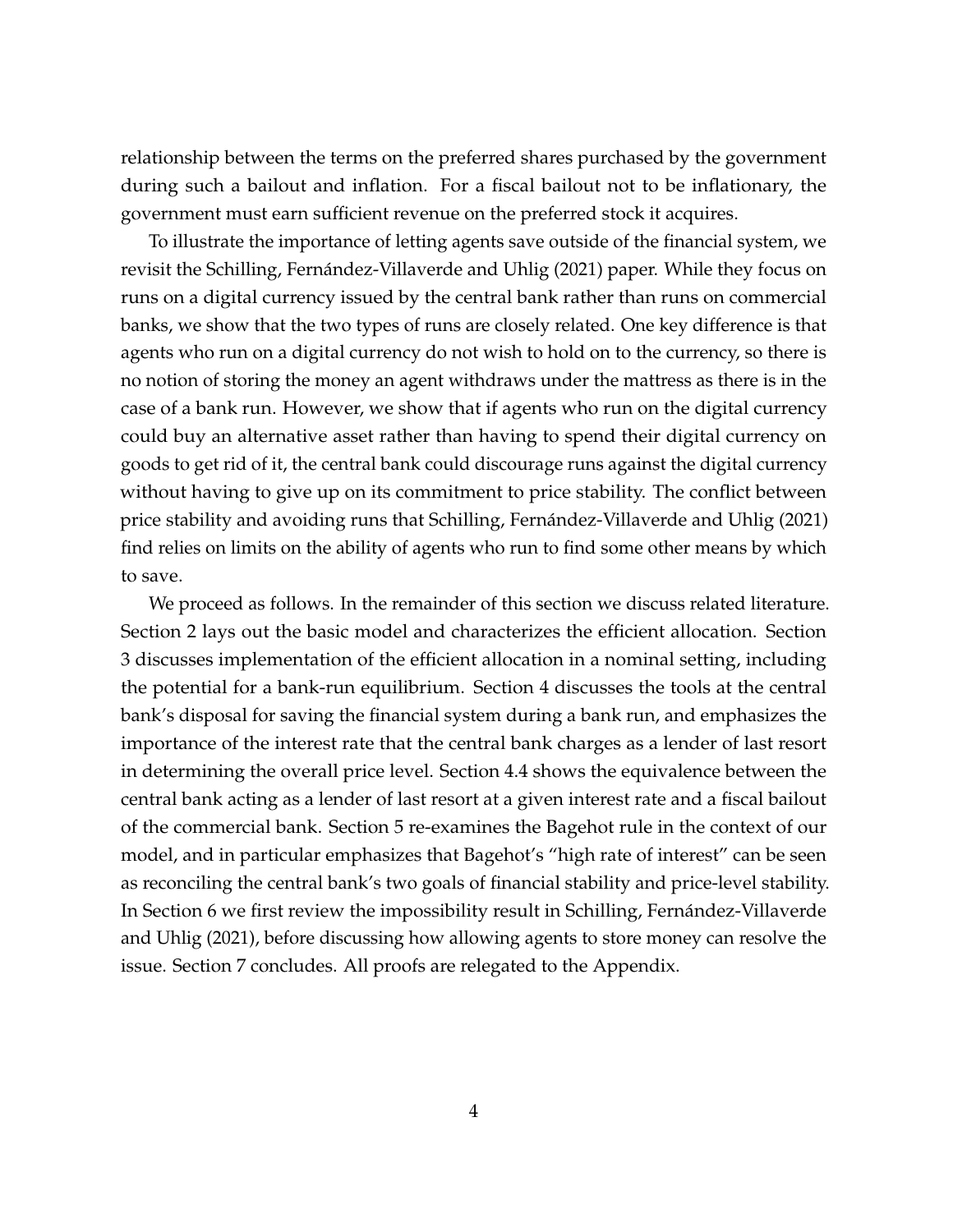relationship between the terms on the preferred shares purchased by the government during such a bailout and inflation. For a fiscal bailout not to be inflationary, the government must earn sufficient revenue on the preferred stock it acquires.

To illustrate the importance of letting agents save outside of the financial system, we revisit the [Schilling, Fernández-Villaverde and Uhlig](#page-29-1) [\(2021\)](#page-29-1) paper. While they focus on runs on a digital currency issued by the central bank rather than runs on commercial banks, we show that the two types of runs are closely related. One key difference is that agents who run on a digital currency do not wish to hold on to the currency, so there is no notion of storing the money an agent withdraws under the mattress as there is in the case of a bank run. However, we show that if agents who run on the digital currency could buy an alternative asset rather than having to spend their digital currency on goods to get rid of it, the central bank could discourage runs against the digital currency without having to give up on its commitment to price stability. The conflict between price stability and avoiding runs that [Schilling, Fernández-Villaverde and Uhlig](#page-29-1) [\(2021\)](#page-29-1) find relies on limits on the ability of agents who run to find some other means by which to save.

We proceed as follows. In the remainder of this section we discuss related literature. Section [2](#page-6-0) lays out the basic model and characterizes the efficient allocation. Section [3](#page-11-0) discusses implementation of the efficient allocation in a nominal setting, including the potential for a bank-run equilibrium. Section [4](#page-14-0) discusses the tools at the central bank's disposal for saving the financial system during a bank run, and emphasizes the importance of the interest rate that the central bank charges as a lender of last resort in determining the overall price level. Section [4.4](#page-19-0) shows the equivalence between the central bank acting as a lender of last resort at a given interest rate and a fiscal bailout of the commercial bank. Section [5](#page-20-0) re-examines the Bagehot rule in the context of our model, and in particular emphasizes that Bagehot's "high rate of interest" can be seen as reconciling the central bank's two goals of financial stability and price-level stability. In Section [6](#page-23-0) we first review the impossibility result in [Schilling, Fernández-Villaverde](#page-29-1) [and Uhlig](#page-29-1) [\(2021\)](#page-29-1), before discussing how allowing agents to store money can resolve the issue. Section [7](#page-27-0) concludes. All proofs are relegated to the Appendix.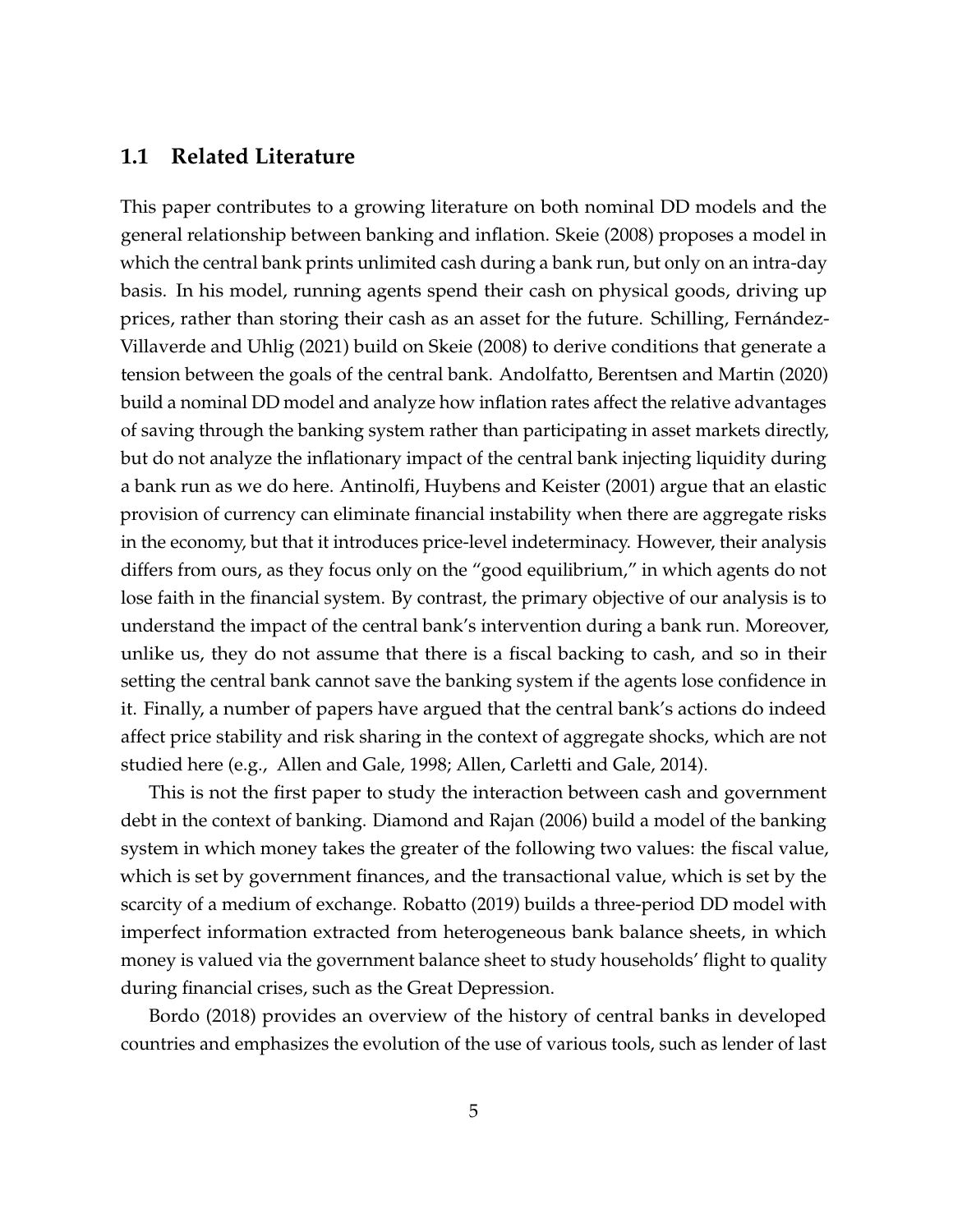#### **1.1 Related Literature**

This paper contributes to a growing literature on both nominal DD models and the general relationship between banking and inflation. [Skeie](#page-29-3) [\(2008\)](#page-29-3) proposes a model in which the central bank prints unlimited cash during a bank run, but only on an intra-day basis. In his model, running agents spend their cash on physical goods, driving up prices, rather than storing their cash as an asset for the future. [Schilling, Fernández-](#page-29-1)[Villaverde and Uhlig](#page-29-1) [\(2021\)](#page-29-1) build on [Skeie](#page-29-3) [\(2008\)](#page-29-3) to derive conditions that generate a tension between the goals of the central bank. [Andolfatto, Berentsen and Martin](#page-28-2) [\(2020\)](#page-28-2) build a nominal DD model and analyze how inflation rates affect the relative advantages of saving through the banking system rather than participating in asset markets directly, but do not analyze the inflationary impact of the central bank injecting liquidity during a bank run as we do here. [Antinolfi, Huybens and Keister](#page-28-3) [\(2001\)](#page-28-3) argue that an elastic provision of currency can eliminate financial instability when there are aggregate risks in the economy, but that it introduces price-level indeterminacy. However, their analysis differs from ours, as they focus only on the "good equilibrium," in which agents do not lose faith in the financial system. By contrast, the primary objective of our analysis is to understand the impact of the central bank's intervention during a bank run. Moreover, unlike us, they do not assume that there is a fiscal backing to cash, and so in their setting the central bank cannot save the banking system if the agents lose confidence in it. Finally, a number of papers have argued that the central bank's actions do indeed affect price stability and risk sharing in the context of aggregate shocks, which are not studied here (e.g., [Allen and Gale,](#page-28-4) [1998;](#page-28-4) [Allen, Carletti and Gale,](#page-28-5) [2014\)](#page-28-5).

This is not the first paper to study the interaction between cash and government debt in the context of banking. [Diamond and Rajan](#page-29-4) [\(2006\)](#page-29-4) build a model of the banking system in which money takes the greater of the following two values: the fiscal value, which is set by government finances, and the transactional value, which is set by the scarcity of a medium of exchange. [Robatto](#page-29-5) [\(2019\)](#page-29-5) builds a three-period DD model with imperfect information extracted from heterogeneous bank balance sheets, in which money is valued via the government balance sheet to study households' flight to quality during financial crises, such as the Great Depression.

[Bordo](#page-28-0) [\(2018\)](#page-28-0) provides an overview of the history of central banks in developed countries and emphasizes the evolution of the use of various tools, such as lender of last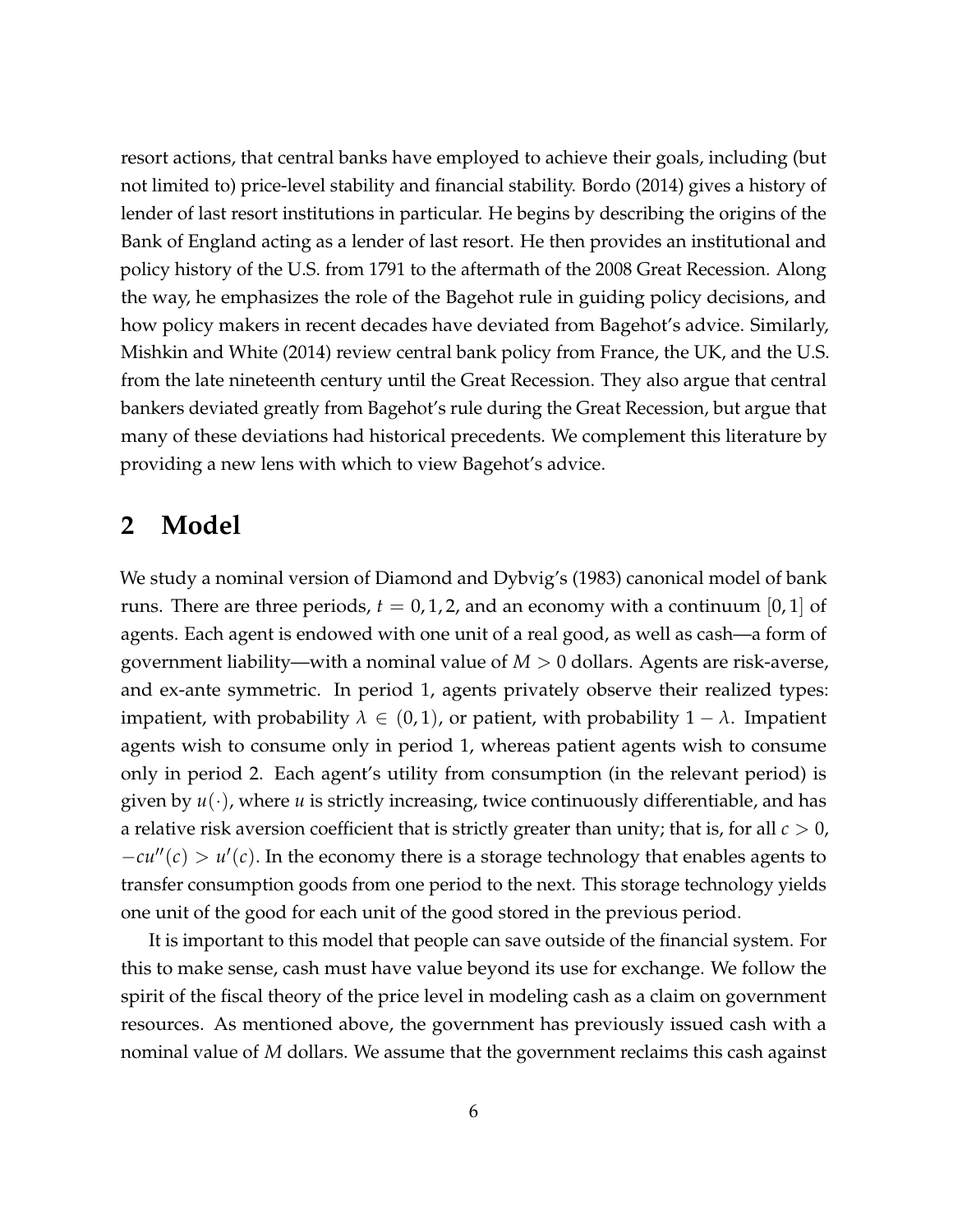resort actions, that central banks have employed to achieve their goals, including (but not limited to) price-level stability and financial stability. [Bordo](#page-28-6) [\(2014\)](#page-28-6) gives a history of lender of last resort institutions in particular. He begins by describing the origins of the Bank of England acting as a lender of last resort. He then provides an institutional and policy history of the U.S. from 1791 to the aftermath of the 2008 Great Recession. Along the way, he emphasizes the role of the Bagehot rule in guiding policy decisions, and how policy makers in recent decades have deviated from Bagehot's advice. Similarly, [Mishkin and White](#page-29-6) [\(2014\)](#page-29-6) review central bank policy from France, the UK, and the U.S. from the late nineteenth century until the Great Recession. They also argue that central bankers deviated greatly from Bagehot's rule during the Great Recession, but argue that many of these deviations had historical precedents. We complement this literature by providing a new lens with which to view Bagehot's advice.

### <span id="page-6-0"></span>**2 Model**

We study a nominal version of [Diamond and Dybvig'](#page-29-0)s [\(1983\)](#page-29-0) canonical model of bank runs. There are three periods,  $t = 0, 1, 2$ , and an economy with a continuum  $[0, 1]$  of agents. Each agent is endowed with one unit of a real good, as well as cash—a form of government liability—with a nominal value of *M* > 0 dollars. Agents are risk-averse, and ex-ante symmetric. In period 1, agents privately observe their realized types: impatient, with probability  $\lambda \in (0,1)$ , or patient, with probability  $1 - \lambda$ . Impatient agents wish to consume only in period 1, whereas patient agents wish to consume only in period 2. Each agent's utility from consumption (in the relevant period) is given by *u*(·), where *u* is strictly increasing, twice continuously differentiable, and has a relative risk aversion coefficient that is strictly greater than unity; that is, for all  $c > 0$ ,  $-cu''(c) > u'(c)$ . In the economy there is a storage technology that enables agents to transfer consumption goods from one period to the next. This storage technology yields one unit of the good for each unit of the good stored in the previous period.

It is important to this model that people can save outside of the financial system. For this to make sense, cash must have value beyond its use for exchange. We follow the spirit of the fiscal theory of the price level in modeling cash as a claim on government resources. As mentioned above, the government has previously issued cash with a nominal value of *M* dollars. We assume that the government reclaims this cash against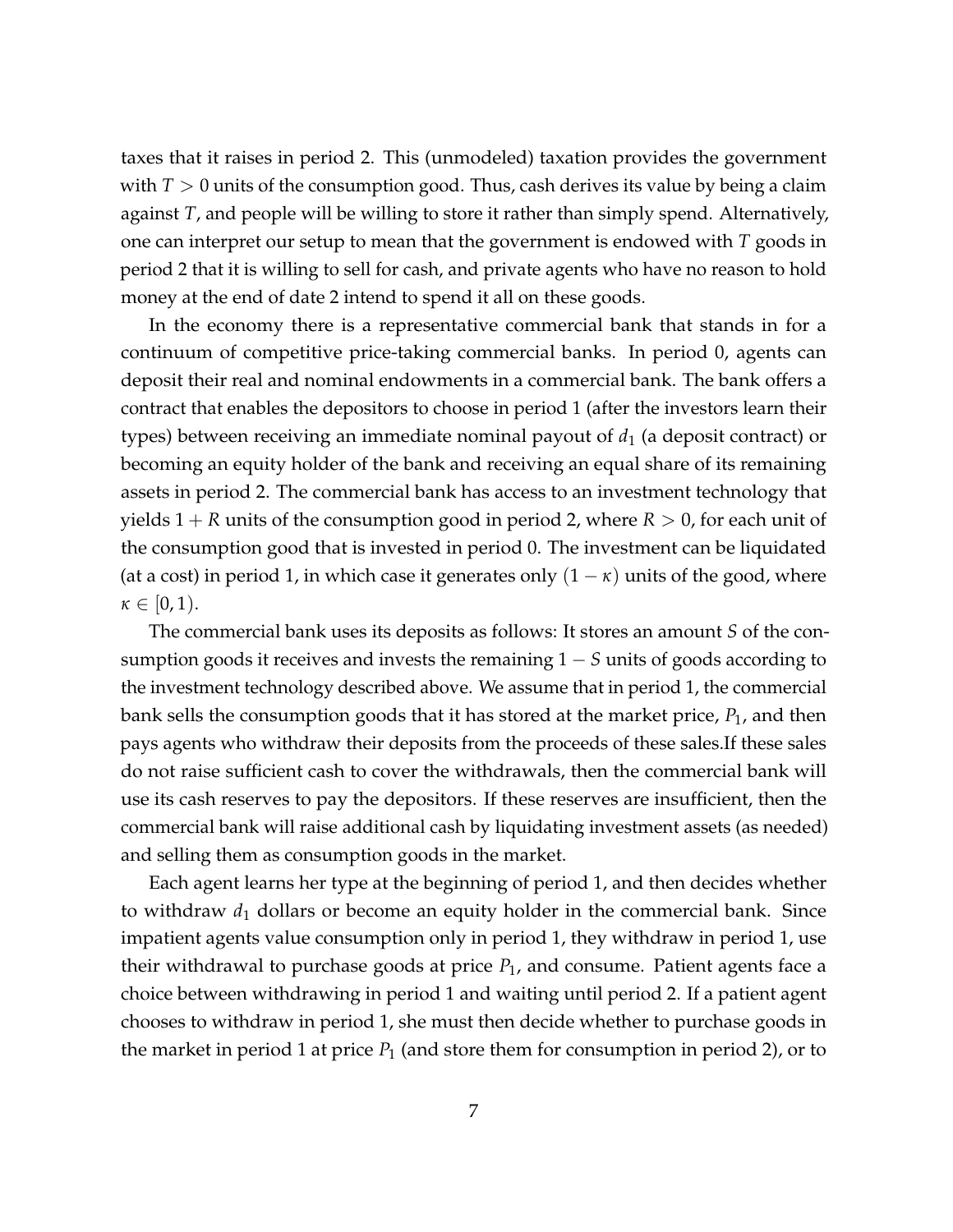taxes that it raises in period 2. This (unmodeled) taxation provides the government with  $T > 0$  units of the consumption good. Thus, cash derives its value by being a claim against *T*, and people will be willing to store it rather than simply spend. Alternatively, one can interpret our setup to mean that the government is endowed with *T* goods in period 2 that it is willing to sell for cash, and private agents who have no reason to hold money at the end of date 2 intend to spend it all on these goods.

In the economy there is a representative commercial bank that stands in for a continuum of competitive price-taking commercial banks. In period 0, agents can deposit their real and nominal endowments in a commercial bank. The bank offers a contract that enables the depositors to choose in period 1 (after the investors learn their types) between receiving an immediate nominal payout of *d*<sup>1</sup> (a deposit contract) or becoming an equity holder of the bank and receiving an equal share of its remaining assets in period 2. The commercial bank has access to an investment technology that yields  $1 + R$  units of the consumption good in period 2, where  $R > 0$ , for each unit of the consumption good that is invested in period 0. The investment can be liquidated (at a cost) in period 1, in which case it generates only  $(1 - \kappa)$  units of the good, where  $\kappa \in [0,1)$ .

The commercial bank uses its deposits as follows: It stores an amount *S* of the consumption goods it receives and invests the remaining 1 − *S* units of goods according to the investment technology described above. We assume that in period 1, the commercial bank sells the consumption goods that it has stored at the market price, *P*1, and then pays agents who withdraw their deposits from the proceeds of these sales.If these sales do not raise sufficient cash to cover the withdrawals, then the commercial bank will use its cash reserves to pay the depositors. If these reserves are insufficient, then the commercial bank will raise additional cash by liquidating investment assets (as needed) and selling them as consumption goods in the market.

Each agent learns her type at the beginning of period 1, and then decides whether to withdraw  $d_1$  dollars or become an equity holder in the commercial bank. Since impatient agents value consumption only in period 1, they withdraw in period 1, use their withdrawal to purchase goods at price  $P_1$ , and consume. Patient agents face a choice between withdrawing in period 1 and waiting until period 2. If a patient agent chooses to withdraw in period 1, she must then decide whether to purchase goods in the market in period 1 at price  $P_1$  (and store them for consumption in period 2), or to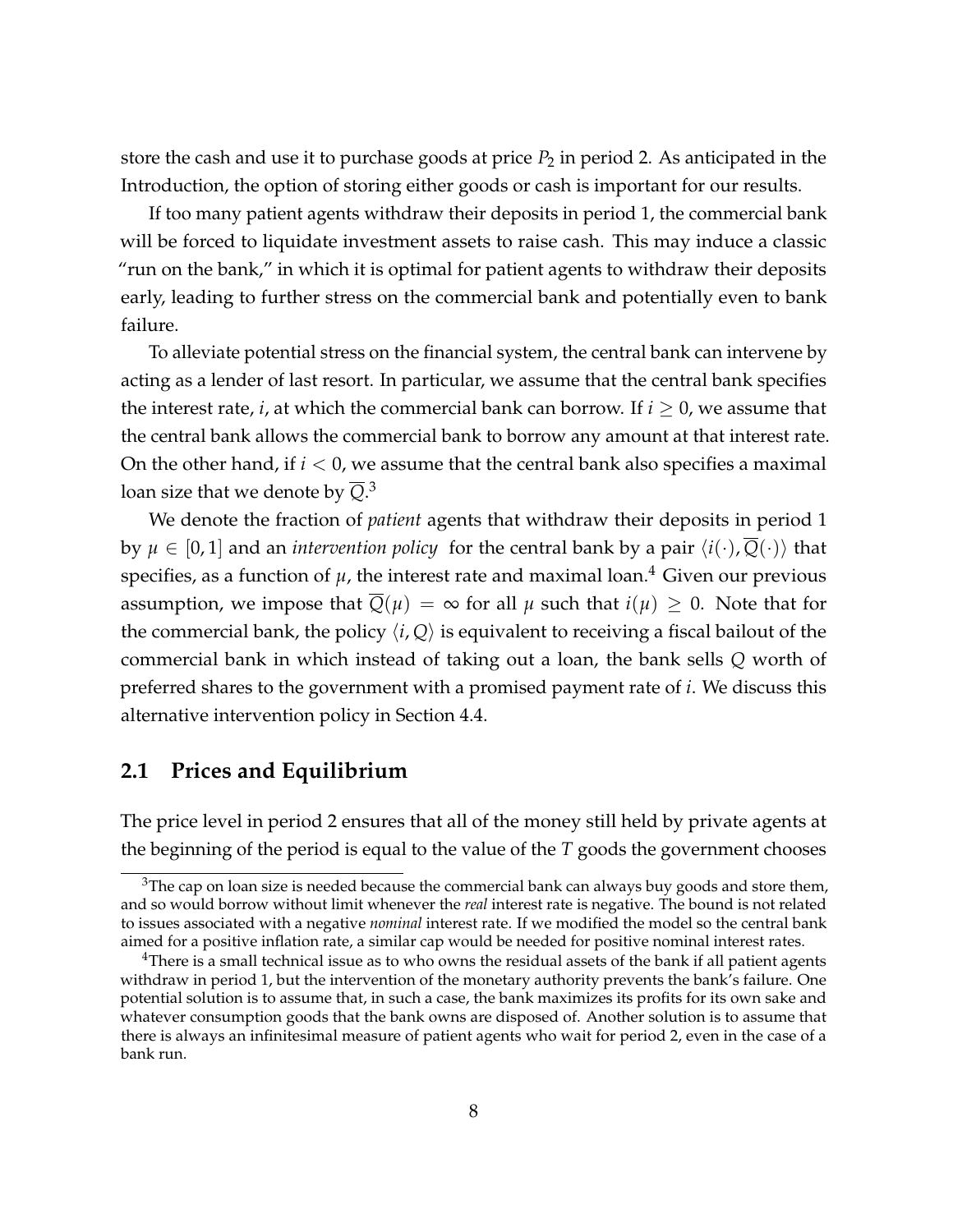store the cash and use it to purchase goods at price  $P_2$  in period 2. As anticipated in the Introduction, the option of storing either goods or cash is important for our results.

If too many patient agents withdraw their deposits in period 1, the commercial bank will be forced to liquidate investment assets to raise cash. This may induce a classic "run on the bank," in which it is optimal for patient agents to withdraw their deposits early, leading to further stress on the commercial bank and potentially even to bank failure.

To alleviate potential stress on the financial system, the central bank can intervene by acting as a lender of last resort. In particular, we assume that the central bank specifies the interest rate, *i*, at which the commercial bank can borrow. If  $i \geq 0$ , we assume that the central bank allows the commercial bank to borrow any amount at that interest rate. On the other hand, if  $i < 0$ , we assume that the central bank also specifies a maximal loan size that we denote by  $\overline{Q}.^3$  $\overline{Q}.^3$ 

We denote the fraction of *patient* agents that withdraw their deposits in period 1 by  $\mu \in [0, 1]$  and an *intervention policy* for the central bank by a pair  $\langle i(\cdot), \overline{Q}(\cdot) \rangle$  that specifies, as a function of  $\mu$ , the interest rate and maximal loan.<sup>[4](#page-8-1)</sup> Given our previous assumption, we impose that  $Q(\mu) = \infty$  for all  $\mu$  such that  $i(\mu) \geq 0$ . Note that for the commercial bank, the policy  $\langle i, Q \rangle$  is equivalent to receiving a fiscal bailout of the commercial bank in which instead of taking out a loan, the bank sells *Q* worth of preferred shares to the government with a promised payment rate of *i*. We discuss this alternative intervention policy in Section [4.4.](#page-19-0)

#### **2.1 Prices and Equilibrium**

The price level in period 2 ensures that all of the money still held by private agents at the beginning of the period is equal to the value of the *T* goods the government chooses

<span id="page-8-0"></span> $3$ The cap on loan size is needed because the commercial bank can always buy goods and store them, and so would borrow without limit whenever the *real* interest rate is negative. The bound is not related to issues associated with a negative *nominal* interest rate. If we modified the model so the central bank aimed for a positive inflation rate, a similar cap would be needed for positive nominal interest rates.

<span id="page-8-1"></span><sup>&</sup>lt;sup>4</sup>There is a small technical issue as to who owns the residual assets of the bank if all patient agents withdraw in period 1, but the intervention of the monetary authority prevents the bank's failure. One potential solution is to assume that, in such a case, the bank maximizes its profits for its own sake and whatever consumption goods that the bank owns are disposed of. Another solution is to assume that there is always an infinitesimal measure of patient agents who wait for period 2, even in the case of a bank run.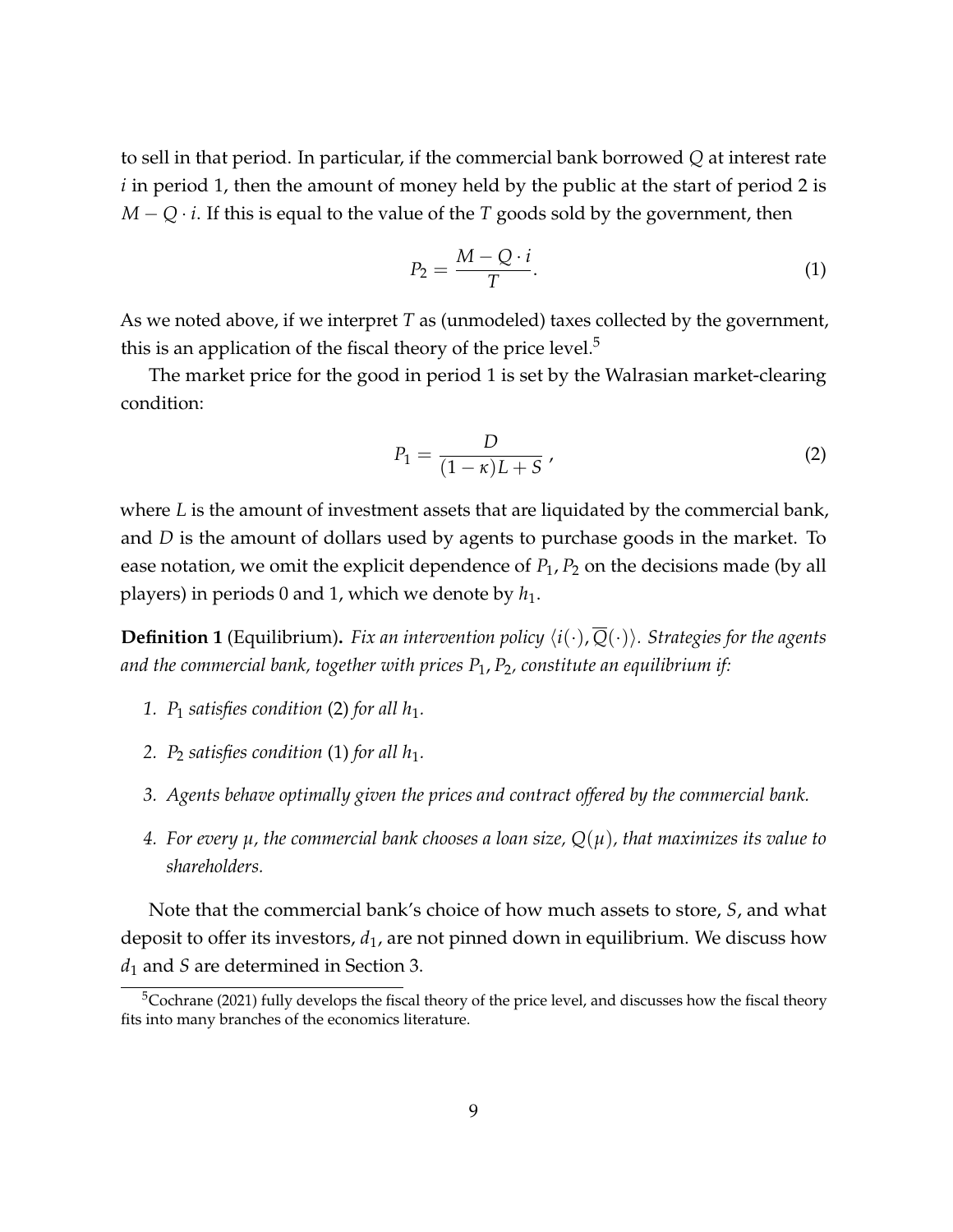to sell in that period. In particular, if the commercial bank borrowed *Q* at interest rate *i* in period 1, then the amount of money held by the public at the start of period 2 is *M* − *Q* · *i*. If this is equal to the value of the *T* goods sold by the government, then

<span id="page-9-2"></span>
$$
P_2 = \frac{M - Q \cdot i}{T}.\tag{1}
$$

As we noted above, if we interpret *T* as (unmodeled) taxes collected by the government, this is an application of the fiscal theory of the price level.<sup>[5](#page-9-0)</sup>

The market price for the good in period 1 is set by the Walrasian market-clearing condition:

<span id="page-9-1"></span>
$$
P_1 = \frac{D}{(1 - \kappa)L + S} \tag{2}
$$

where *L* is the amount of investment assets that are liquidated by the commercial bank, and *D* is the amount of dollars used by agents to purchase goods in the market. To ease notation, we omit the explicit dependence of  $P_1$ ,  $P_2$  on the decisions made (by all players) in periods 0 and 1, which we denote by *h*1.

**Definition 1** (Equilibrium). *Fix an intervention policy*  $\langle i(\cdot), \overline{Q}(\cdot) \rangle$ *. Strategies for the agents and the commercial bank, together with prices P*1, *P*2*, constitute an equilibrium if:*

- 1.  $P_1$  *satisfies condition* [\(2\)](#page-9-1) *for all*  $h_1$ *.*
- 2.  $P_2$  *satisfies condition* [\(1\)](#page-9-2) *for all*  $h_1$ *.*
- *3. Agents behave optimally given the prices and contract offered by the commercial bank.*
- *4. For every µ, the commercial bank chooses a loan size, Q*(*µ*)*, that maximizes its value to shareholders.*

Note that the commercial bank's choice of how much assets to store, *S*, and what deposit to offer its investors, *d*1, are not pinned down in equilibrium. We discuss how *d*<sup>1</sup> and *S* are determined in Section [3.](#page-11-0)

<span id="page-9-0"></span><sup>&</sup>lt;sup>5</sup>[Cochrane](#page-29-7) [\(2021\)](#page-29-7) fully develops the fiscal theory of the price level, and discusses how the fiscal theory fits into many branches of the economics literature.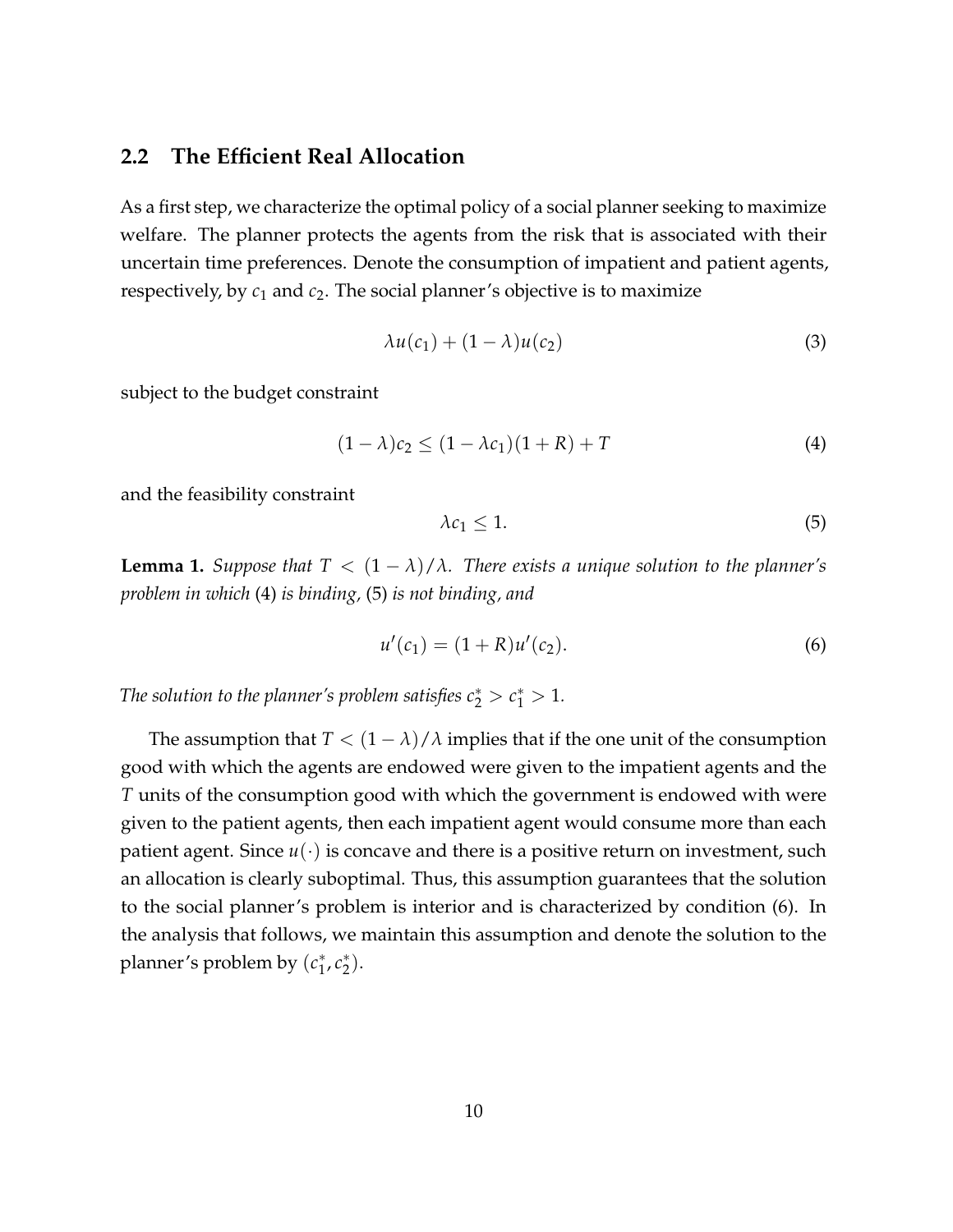#### **2.2 The Efficient Real Allocation**

As a first step, we characterize the optimal policy of a social planner seeking to maximize welfare. The planner protects the agents from the risk that is associated with their uncertain time preferences. Denote the consumption of impatient and patient agents, respectively, by *c*<sup>1</sup> and *c*2. The social planner's objective is to maximize

$$
\lambda u(c_1) + (1 - \lambda)u(c_2) \tag{3}
$$

subject to the budget constraint

<span id="page-10-0"></span>
$$
(1 - \lambda)c_2 \le (1 - \lambda c_1)(1 + R) + T \tag{4}
$$

and the feasibility constraint

<span id="page-10-2"></span><span id="page-10-1"></span>
$$
\lambda c_1 \le 1. \tag{5}
$$

<span id="page-10-3"></span>**Lemma 1.** *Suppose that*  $T < (1 - \lambda)/\lambda$ *. There exists a unique solution to the planner's problem in which* [\(4\)](#page-10-0) *is binding,* [\(5\)](#page-10-1) *is not binding, and*

$$
u'(c_1) = (1 + R)u'(c_2).
$$
 (6)

*The solution to the planner's problem satisfies*  $c_2^* > c_1^* > 1$ .

The assumption that  $T < (1 - \lambda)/\lambda$  implies that if the one unit of the consumption good with which the agents are endowed were given to the impatient agents and the *T* units of the consumption good with which the government is endowed with were given to the patient agents, then each impatient agent would consume more than each patient agent. Since  $u(\cdot)$  is concave and there is a positive return on investment, such an allocation is clearly suboptimal. Thus, this assumption guarantees that the solution to the social planner's problem is interior and is characterized by condition [\(6\)](#page-10-2). In the analysis that follows, we maintain this assumption and denote the solution to the planner's problem by (*c* ∗  $^*_1$ ,  $c_2^*$  $_{2}^{*}$ ).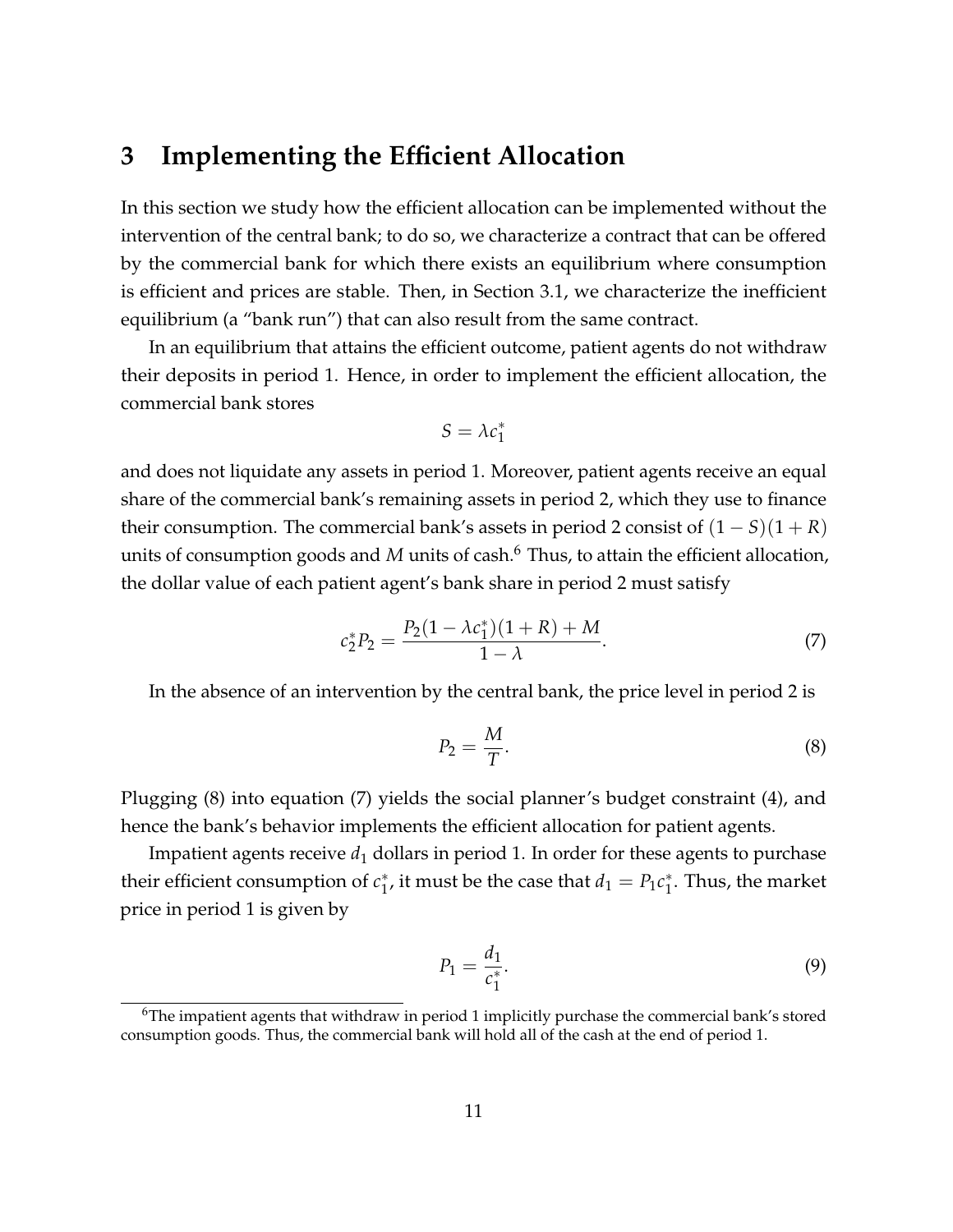### <span id="page-11-0"></span>**3 Implementing the Efficient Allocation**

In this section we study how the efficient allocation can be implemented without the intervention of the central bank; to do so, we characterize a contract that can be offered by the commercial bank for which there exists an equilibrium where consumption is efficient and prices are stable. Then, in Section [3.1,](#page-13-0) we characterize the inefficient equilibrium (a "bank run") that can also result from the same contract.

In an equilibrium that attains the efficient outcome, patient agents do not withdraw their deposits in period 1. Hence, in order to implement the efficient allocation, the commercial bank stores

$$
S = \lambda c_1^*
$$

and does not liquidate any assets in period 1. Moreover, patient agents receive an equal share of the commercial bank's remaining assets in period 2, which they use to finance their consumption. The commercial bank's assets in period 2 consist of  $(1 - S)(1 + R)$ units of consumption goods and *M* units of cash.<sup>[6](#page-11-1)</sup> Thus, to attain the efficient allocation, the dollar value of each patient agent's bank share in period 2 must satisfy

<span id="page-11-3"></span>
$$
c_2^* P_2 = \frac{P_2(1 - \lambda c_1^*)(1 + R) + M}{1 - \lambda}.
$$
 (7)

In the absence of an intervention by the central bank, the price level in period 2 is

<span id="page-11-2"></span>
$$
P_2 = \frac{M}{T}.\tag{8}
$$

Plugging [\(8\)](#page-11-2) into equation [\(7\)](#page-11-3) yields the social planner's budget constraint [\(4\)](#page-10-0), and hence the bank's behavior implements the efficient allocation for patient agents.

Impatient agents receive  $d_1$  dollars in period 1. In order for these agents to purchase their efficient consumption of *c* ∗ <sup>\*</sup><sub>1</sub>, it must be the case that  $d_1 = P_1 c_1^*$  $_1^*$ . Thus, the market price in period 1 is given by

<span id="page-11-4"></span>
$$
P_1 = \frac{d_1}{c_1^*}.\tag{9}
$$

<span id="page-11-1"></span> $6$ The impatient agents that withdraw in period 1 implicitly purchase the commercial bank's stored consumption goods. Thus, the commercial bank will hold all of the cash at the end of period 1.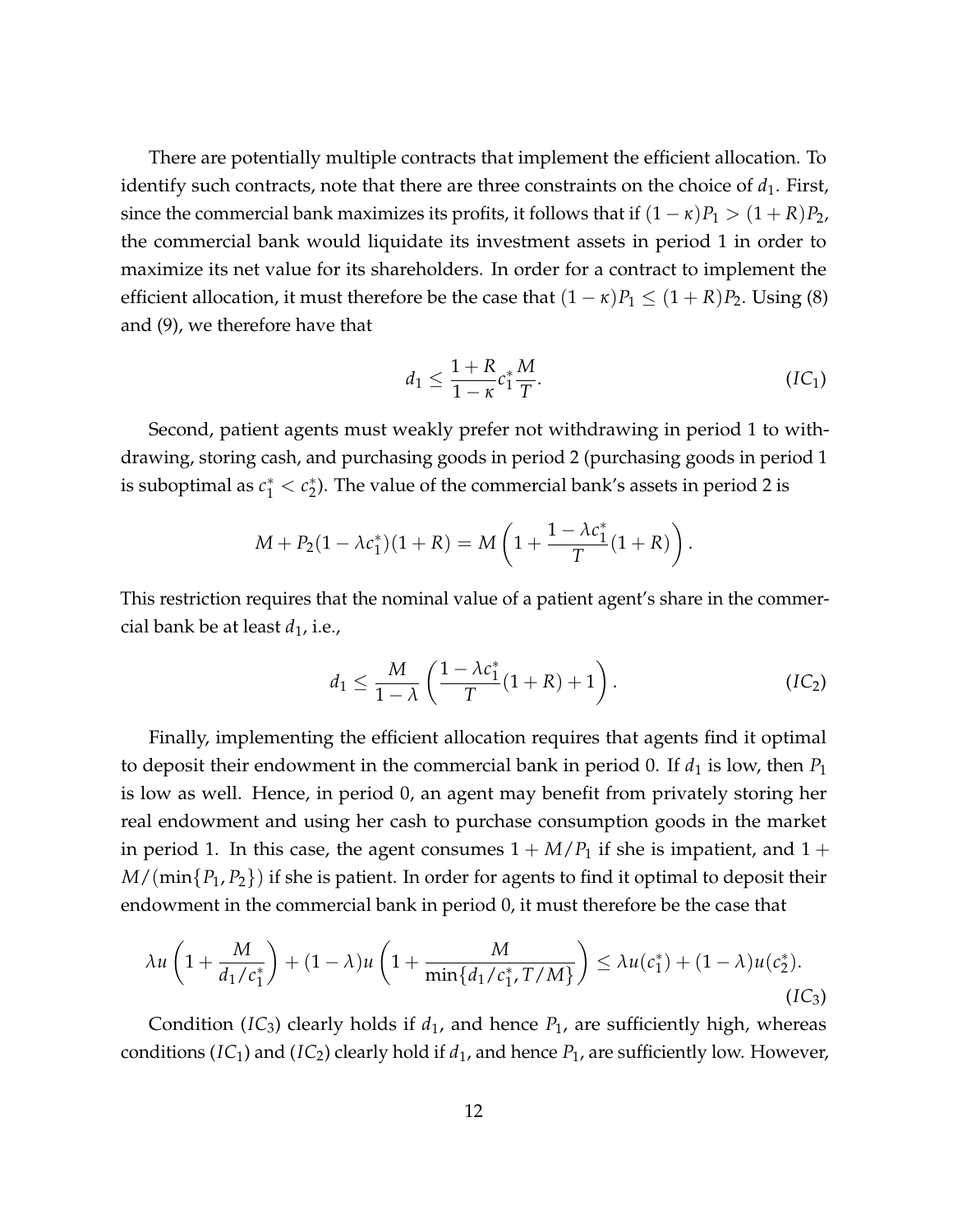There are potentially multiple contracts that implement the efficient allocation. To identify such contracts, note that there are three constraints on the choice of  $d_1$ . First, since the commercial bank maximizes its profits, it follows that if  $(1 - \kappa)P_1 > (1 + R)P_2$ , the commercial bank would liquidate its investment assets in period 1 in order to maximize its net value for its shareholders. In order for a contract to implement the efficient allocation, it must therefore be the case that  $(1 - \kappa)P_1 \leq (1 + R)P_2$ . Using [\(8\)](#page-11-2) and [\(9\)](#page-11-4), we therefore have that

<span id="page-12-1"></span>
$$
d_1 \leq \frac{1+R}{1-\kappa} c_1^* \frac{M}{T}.
$$
 (IC<sub>1</sub>)

Second, patient agents must weakly prefer not withdrawing in period 1 to withdrawing, storing cash, and purchasing goods in period 2 (purchasing goods in period 1 is suboptimal as  $c_1^* < c_2^*$  $_2^*$ ). The value of the commercial bank's assets in period 2 is

$$
M + P_2(1 - \lambda c_1^*)(1 + R) = M\left(1 + \frac{1 - \lambda c_1^*}{T}(1 + R)\right).
$$

This restriction requires that the nominal value of a patient agent's share in the commercial bank be at least  $d_1$ , i.e.,

<span id="page-12-2"></span><span id="page-12-0"></span>
$$
d_1 \leq \frac{M}{1-\lambda} \left( \frac{1-\lambda c_1^*}{T} (1+R) + 1 \right). \tag{IC_2}
$$

Finally, implementing the efficient allocation requires that agents find it optimal to deposit their endowment in the commercial bank in period 0. If  $d_1$  is low, then  $P_1$ is low as well. Hence, in period 0, an agent may benefit from privately storing her real endowment and using her cash to purchase consumption goods in the market in period 1. In this case, the agent consumes  $1 + M/P_1$  if she is impatient, and  $1 +$ *M*/(min{*P*1, *P*2}) if she is patient. In order for agents to find it optimal to deposit their endowment in the commercial bank in period 0, it must therefore be the case that

$$
\lambda u \left( 1 + \frac{M}{d_1/c_1^*} \right) + (1 - \lambda) u \left( 1 + \frac{M}{\min\{d_1/c_1^*, T/M\}} \right) \le \lambda u(c_1^*) + (1 - \lambda) u(c_2^*).
$$
\n(IC<sub>3</sub>)

Condition ( $IC_3$  $IC_3$ ) clearly holds if  $d_1$ , and hence  $P_1$ , are sufficiently high, whereas conditions ( $IC_1$  $IC_1$ ) and ( $IC_2$ ) clearly hold if  $d_1$ , and hence  $P_1$ , are sufficiently low. However,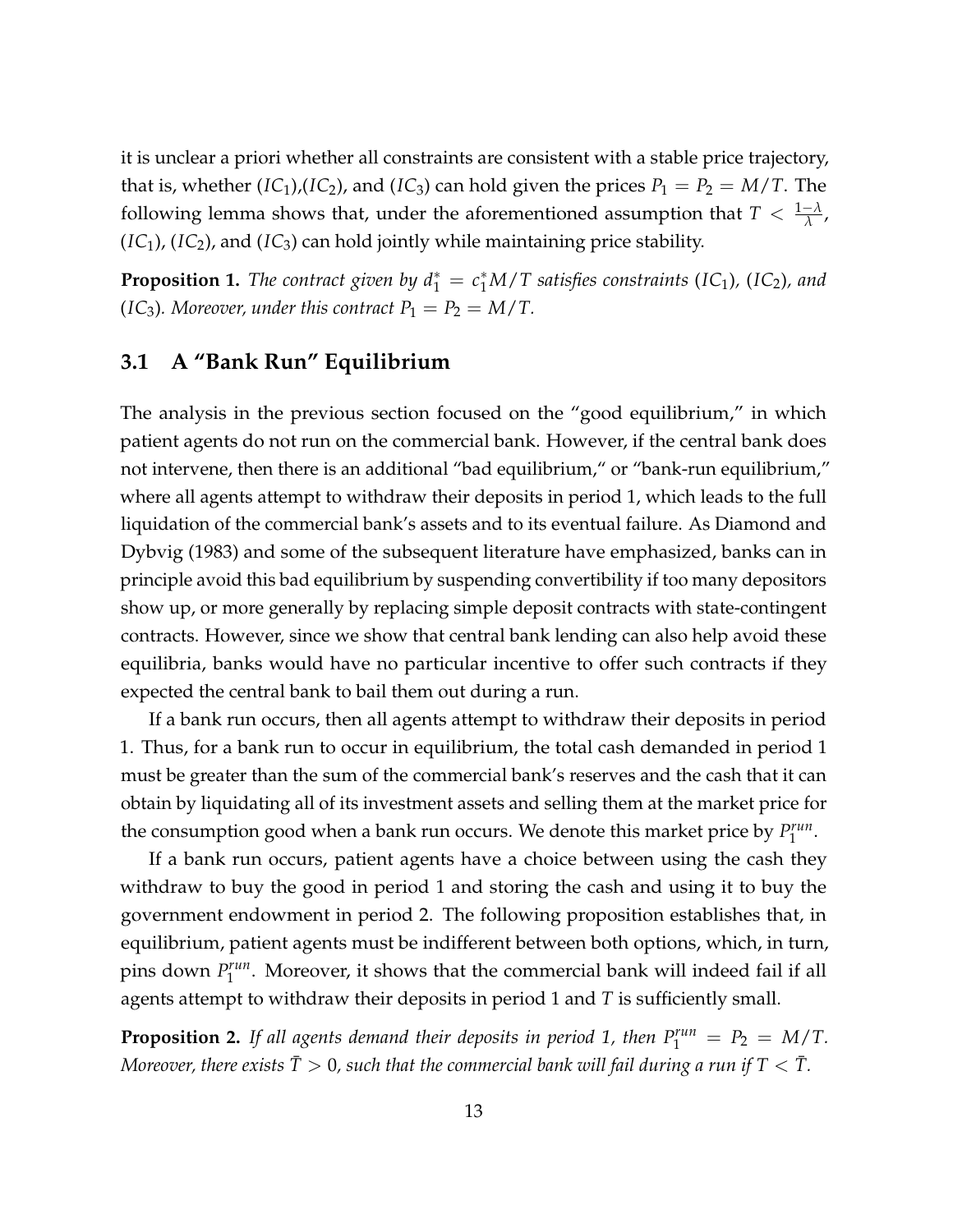it is unclear a priori whether all constraints are consistent with a stable price trajectory, that is, whether (*[IC](#page-12-0)*<sub>1</sub>),(*IC*<sub>2</sub>), and (*IC*<sub>3</sub>) can hold given the prices  $P_1 = P_2 = M/T$ . The following lemma shows that, under the aforementioned assumption that  $T < \frac{1-\lambda}{\lambda}$ ,  $(IC<sub>1</sub>), (IC<sub>2</sub>),$  $(IC<sub>1</sub>), (IC<sub>2</sub>),$  $(IC<sub>1</sub>), (IC<sub>2</sub>),$  and  $(IC<sub>3</sub>)$  can hold jointly while maintaining price stability.

<span id="page-13-1"></span>**Proposition 1.** The contract given by  $d_1^* = c_1^*M/T$  satisfies constraints ([IC](#page-12-2)<sub>1</sub>), (IC<sub>2</sub>), and (*[IC](#page-12-0)*<sub>3</sub>)*. Moreover, under this contract*  $P_1 = P_2 = M/T$ .

#### <span id="page-13-0"></span>**3.1 A "Bank Run" Equilibrium**

The analysis in the previous section focused on the "good equilibrium," in which patient agents do not run on the commercial bank. However, if the central bank does not intervene, then there is an additional "bad equilibrium," or "bank-run equilibrium," where all agents attempt to withdraw their deposits in period 1, which leads to the full liquidation of the commercial bank's assets and to its eventual failure. As [Diamond and](#page-29-0) [Dybvig](#page-29-0) [\(1983\)](#page-29-0) and some of the subsequent literature have emphasized, banks can in principle avoid this bad equilibrium by suspending convertibility if too many depositors show up, or more generally by replacing simple deposit contracts with state-contingent contracts. However, since we show that central bank lending can also help avoid these equilibria, banks would have no particular incentive to offer such contracts if they expected the central bank to bail them out during a run.

If a bank run occurs, then all agents attempt to withdraw their deposits in period 1. Thus, for a bank run to occur in equilibrium, the total cash demanded in period 1 must be greater than the sum of the commercial bank's reserves and the cash that it can obtain by liquidating all of its investment assets and selling them at the market price for the consumption good when a bank run occurs. We denote this market price by *P run* run .<br>1

If a bank run occurs, patient agents have a choice between using the cash they withdraw to buy the good in period 1 and storing the cash and using it to buy the government endowment in period 2. The following proposition establishes that, in equilibrium, patient agents must be indifferent between both options, which, in turn, pins down *P run*  $\int_1^{run}$ . Moreover, it shows that the commercial bank will indeed fail if all agents attempt to withdraw their deposits in period 1 and *T* is sufficiently small.

<span id="page-13-2"></span>**Proposition 2.** If all agents demand their deposits in period 1, then  $P_1^{run} = P_2 = M/T$ . *Moreover, there exists*  $\overline{T} > 0$ *, such that the commercial bank will fail during a run if*  $T < \overline{T}$ *.*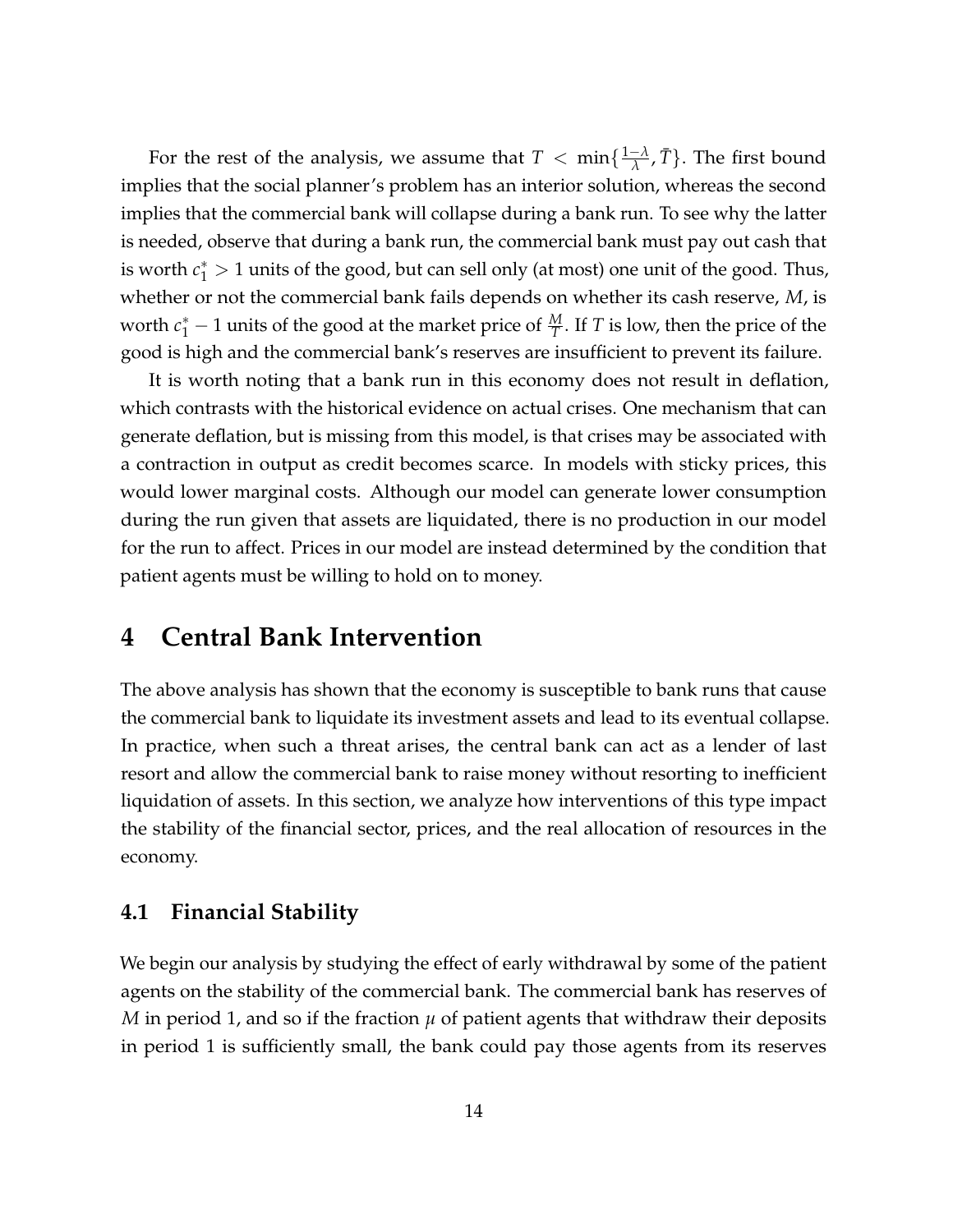For the rest of the analysis, we assume that  $T < \min\{\frac{1-\lambda}{\lambda}\}$  $\frac{-\lambda}{\lambda}$ ,  $\overline{T}$ }. The first bound implies that the social planner's problem has an interior solution, whereas the second implies that the commercial bank will collapse during a bank run. To see why the latter is needed, observe that during a bank run, the commercial bank must pay out cash that is worth  $c_1^* > 1$  units of the good, but can sell only (at most) one unit of the good. Thus, whether or not the commercial bank fails depends on whether its cash reserve, *M*, is worth  $c_1^* - 1$  units of the good at the market price of  $\frac{M}{T}$ . If *T* is low, then the price of the good is high and the commercial bank's reserves are insufficient to prevent its failure.

It is worth noting that a bank run in this economy does not result in deflation, which contrasts with the historical evidence on actual crises. One mechanism that can generate deflation, but is missing from this model, is that crises may be associated with a contraction in output as credit becomes scarce. In models with sticky prices, this would lower marginal costs. Although our model can generate lower consumption during the run given that assets are liquidated, there is no production in our model for the run to affect. Prices in our model are instead determined by the condition that patient agents must be willing to hold on to money.

### <span id="page-14-0"></span>**4 Central Bank Intervention**

The above analysis has shown that the economy is susceptible to bank runs that cause the commercial bank to liquidate its investment assets and lead to its eventual collapse. In practice, when such a threat arises, the central bank can act as a lender of last resort and allow the commercial bank to raise money without resorting to inefficient liquidation of assets. In this section, we analyze how interventions of this type impact the stability of the financial sector, prices, and the real allocation of resources in the economy.

#### **4.1 Financial Stability**

We begin our analysis by studying the effect of early withdrawal by some of the patient agents on the stability of the commercial bank. The commercial bank has reserves of *M* in period 1, and so if the fraction  $\mu$  of patient agents that withdraw their deposits in period 1 is sufficiently small, the bank could pay those agents from its reserves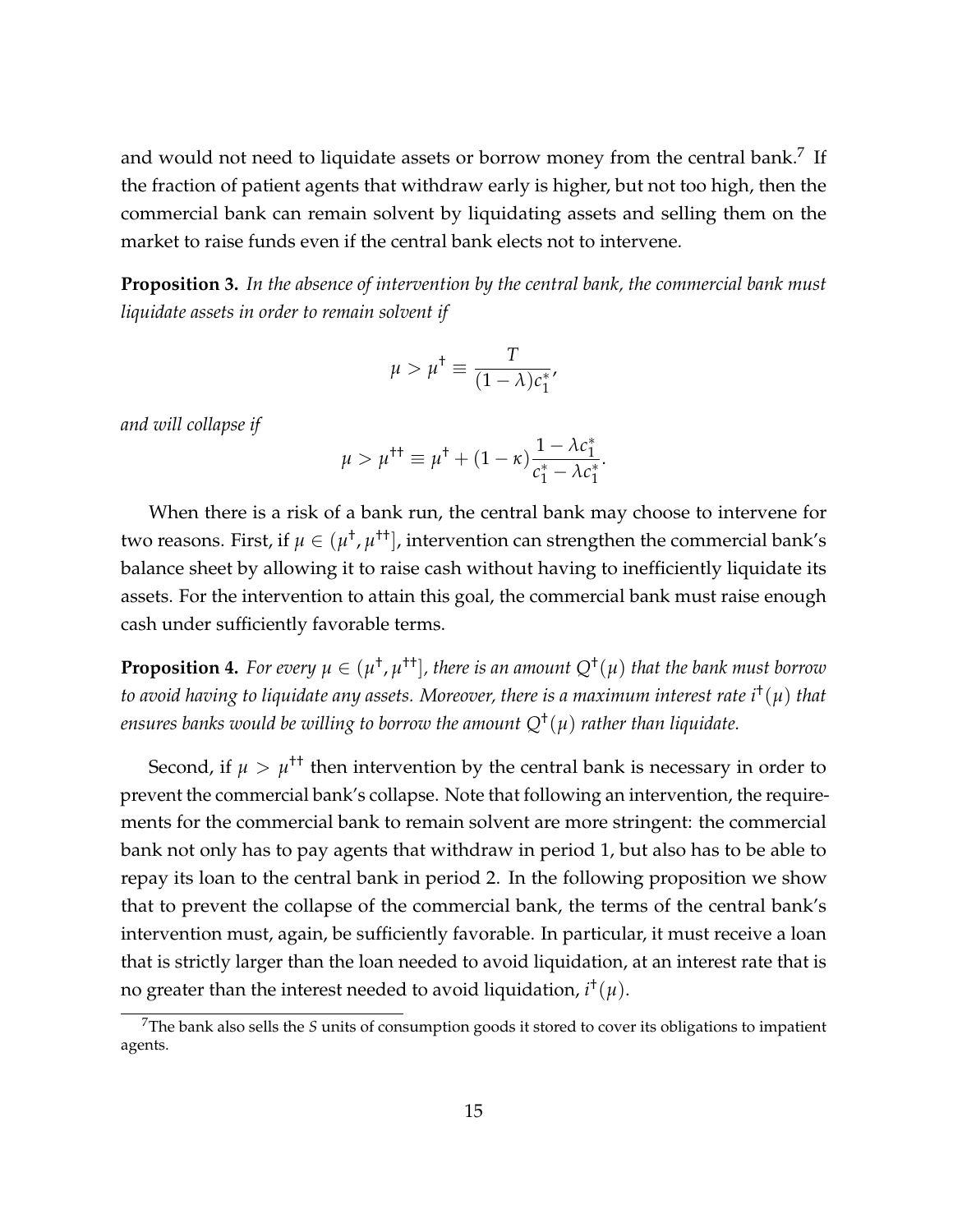and would not need to liquidate assets or borrow money from the central bank.<sup>[7](#page-15-0)</sup> If the fraction of patient agents that withdraw early is higher, but not too high, then the commercial bank can remain solvent by liquidating assets and selling them on the market to raise funds even if the central bank elects not to intervene.

<span id="page-15-1"></span>**Proposition 3.** *In the absence of intervention by the central bank, the commercial bank must liquidate assets in order to remain solvent if*

$$
\mu > \mu^{\dagger} \equiv \frac{T}{(1 - \lambda)c_1^*},
$$

*and will collapse if*

$$
\mu > \mu^{\dagger \dagger} \equiv \mu^{\dagger} + (1 - \kappa) \frac{1 - \lambda c_1^*}{c_1^* - \lambda c_1^*}.
$$

When there is a risk of a bank run, the central bank may choose to intervene for two reasons. First*,* if  $\mu\in(\mu^{\dagger},\mu^{\dagger \dagger}],$  intervention can strengthen the commercial bank′s balance sheet by allowing it to raise cash without having to inefficiently liquidate its assets. For the intervention to attain this goal, the commercial bank must raise enough cash under sufficiently favorable terms.

<span id="page-15-2"></span>**Proposition 4.** For every  $\mu \in (\mu^{\dagger}, \mu^{\dagger \dagger}]$ , there is an amount  $Q^{\dagger}(\mu)$  that the bank must borrow *to avoid having to liquidate any assets. Moreover, there is a maximum interest rate i* † (*µ*) *that ensures banks would be willing to borrow the amount Q*† (*µ*) *rather than liquidate.*

Second, if  $\mu > \mu^{++}$  then intervention by the central bank is necessary in order to prevent the commercial bank's collapse. Note that following an intervention, the requirements for the commercial bank to remain solvent are more stringent: the commercial bank not only has to pay agents that withdraw in period 1, but also has to be able to repay its loan to the central bank in period 2. In the following proposition we show that to prevent the collapse of the commercial bank, the terms of the central bank's intervention must, again, be sufficiently favorable. In particular, it must receive a loan that is strictly larger than the loan needed to avoid liquidation, at an interest rate that is no greater than the interest needed to avoid liquidation,  $i^\dagger(\mu).$ 

<span id="page-15-0"></span><sup>7</sup>The bank also sells the *S* units of consumption goods it stored to cover its obligations to impatient agents.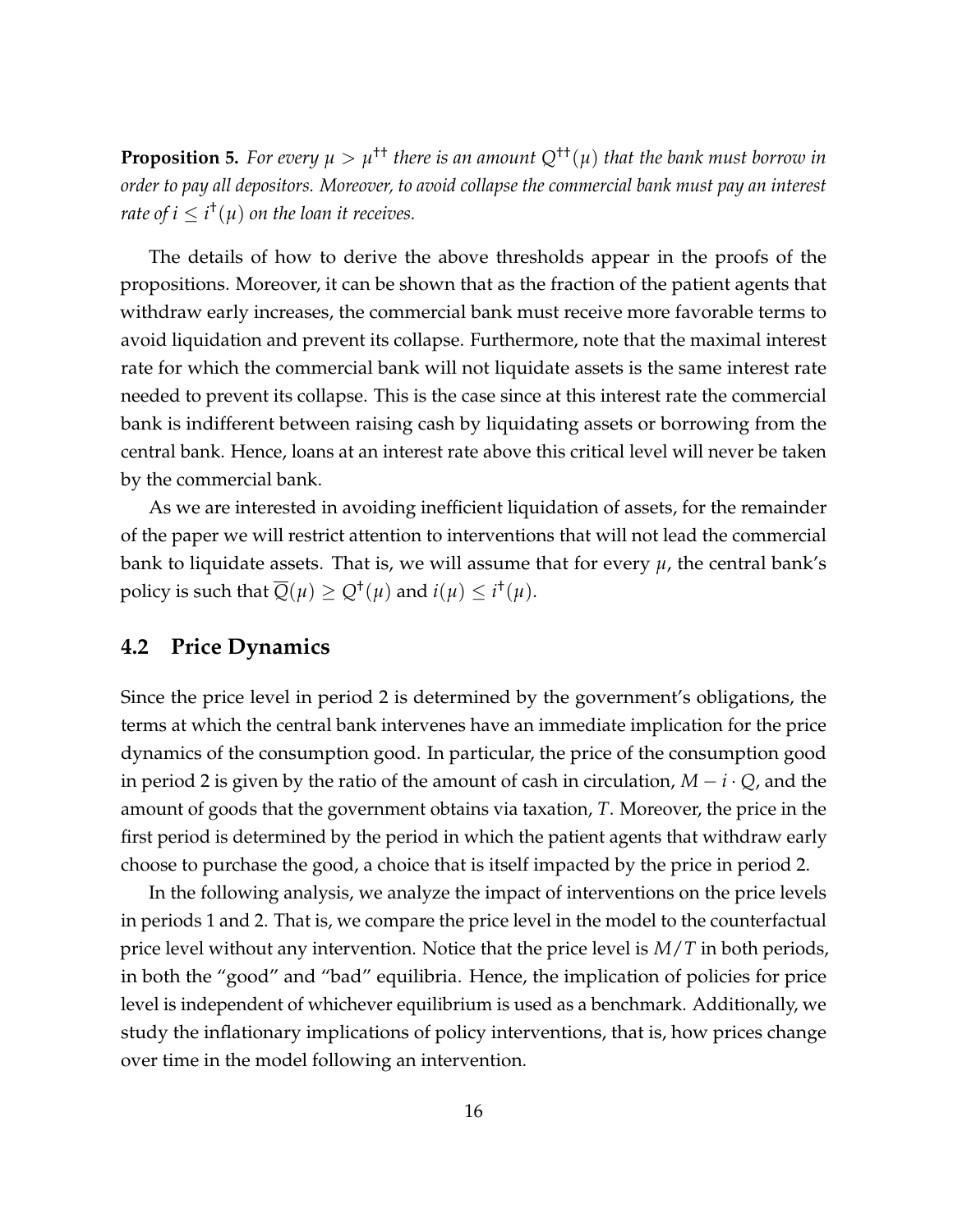<span id="page-16-0"></span>**Proposition 5.** For every  $\mu > \mu^{tt}$  there is an amount  $Q^{tt}(\mu)$  that the bank must borrow in *order to pay all depositors. Moreover, to avoid collapse the commercial bank must pay an interest rate of i*  $\leq i^{\dagger}(\mu)$  *on the loan it receives.* 

The details of how to derive the above thresholds appear in the proofs of the propositions. Moreover, it can be shown that as the fraction of the patient agents that withdraw early increases, the commercial bank must receive more favorable terms to avoid liquidation and prevent its collapse. Furthermore, note that the maximal interest rate for which the commercial bank will not liquidate assets is the same interest rate needed to prevent its collapse. This is the case since at this interest rate the commercial bank is indifferent between raising cash by liquidating assets or borrowing from the central bank. Hence, loans at an interest rate above this critical level will never be taken by the commercial bank.

As we are interested in avoiding inefficient liquidation of assets, for the remainder of the paper we will restrict attention to interventions that will not lead the commercial bank to liquidate assets. That is, we will assume that for every  $\mu$ , the central bank's policy is such that  $\overline{Q}(\mu) \geq Q^{\dagger}(\mu)$  and  $i(\mu) \leq i^{\dagger}(\mu)$ .

#### **4.2 Price Dynamics**

Since the price level in period 2 is determined by the government's obligations, the terms at which the central bank intervenes have an immediate implication for the price dynamics of the consumption good. In particular, the price of the consumption good in period 2 is given by the ratio of the amount of cash in circulation,  $M - i \cdot Q$ , and the amount of goods that the government obtains via taxation, *T*. Moreover, the price in the first period is determined by the period in which the patient agents that withdraw early choose to purchase the good, a choice that is itself impacted by the price in period 2.

In the following analysis, we analyze the impact of interventions on the price levels in periods 1 and 2. That is, we compare the price level in the model to the counterfactual price level without any intervention. Notice that the price level is *M*/*T* in both periods, in both the "good" and "bad" equilibria. Hence, the implication of policies for price level is independent of whichever equilibrium is used as a benchmark. Additionally, we study the inflationary implications of policy interventions, that is, how prices change over time in the model following an intervention.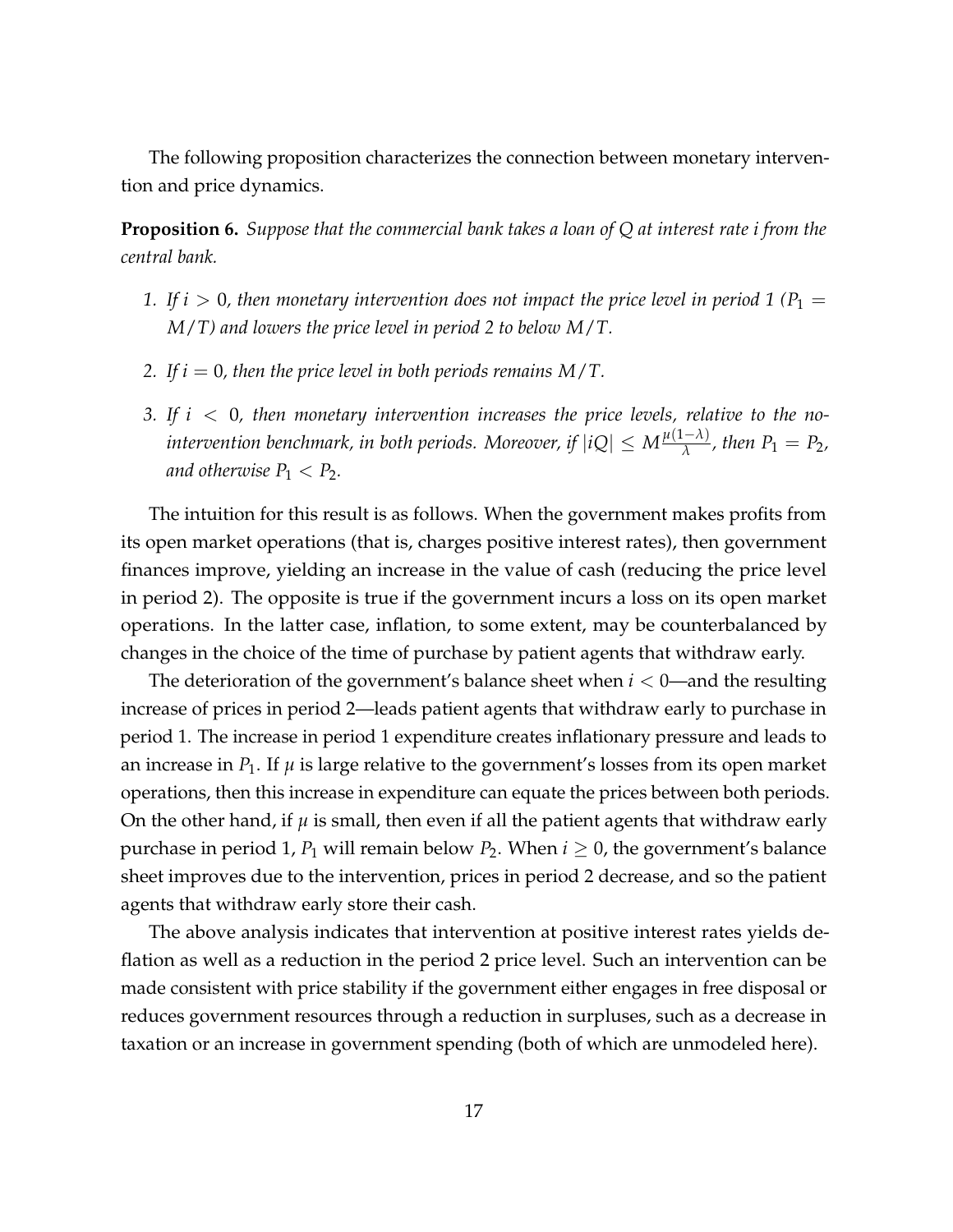The following proposition characterizes the connection between monetary intervention and price dynamics.

<span id="page-17-0"></span>**Proposition 6.** *Suppose that the commercial bank takes a loan of Q at interest rate i from the central bank.*

- *1.* If  $i > 0$ , then monetary intervention does not impact the price level in period 1 ( $P_1 =$ *M*/*T) and lowers the price level in period 2 to below M*/*T.*
- *2. If i* = 0*, then the price level in both periods remains M*/*T.*
- *3. If i* < 0*, then monetary intervention increases the price levels, relative to the no-* $\frac{d\mu}{d\lambda}$  *intervention benchmark, in both periods. Moreover, if*  $|iQ| \leq M \frac{\mu(1-\lambda)}{\lambda}$  $\frac{(-\lambda)}{\lambda}$ , then  $P_1 = P_2$ , *and otherwise*  $P_1 < P_2$ *.*

The intuition for this result is as follows. When the government makes profits from its open market operations (that is, charges positive interest rates), then government finances improve, yielding an increase in the value of cash (reducing the price level in period 2). The opposite is true if the government incurs a loss on its open market operations. In the latter case, inflation, to some extent, may be counterbalanced by changes in the choice of the time of purchase by patient agents that withdraw early.

The deterioration of the government's balance sheet when *i* < 0—and the resulting increase of prices in period 2—leads patient agents that withdraw early to purchase in period 1. The increase in period 1 expenditure creates inflationary pressure and leads to an increase in  $P_1$ . If  $\mu$  is large relative to the government's losses from its open market operations, then this increase in expenditure can equate the prices between both periods. On the other hand, if  $\mu$  is small, then even if all the patient agents that withdraw early purchase in period 1,  $P_1$  will remain below  $P_2$ . When  $i \geq 0$ , the government's balance sheet improves due to the intervention, prices in period 2 decrease, and so the patient agents that withdraw early store their cash.

The above analysis indicates that intervention at positive interest rates yields deflation as well as a reduction in the period 2 price level. Such an intervention can be made consistent with price stability if the government either engages in free disposal or reduces government resources through a reduction in surpluses, such as a decrease in taxation or an increase in government spending (both of which are unmodeled here).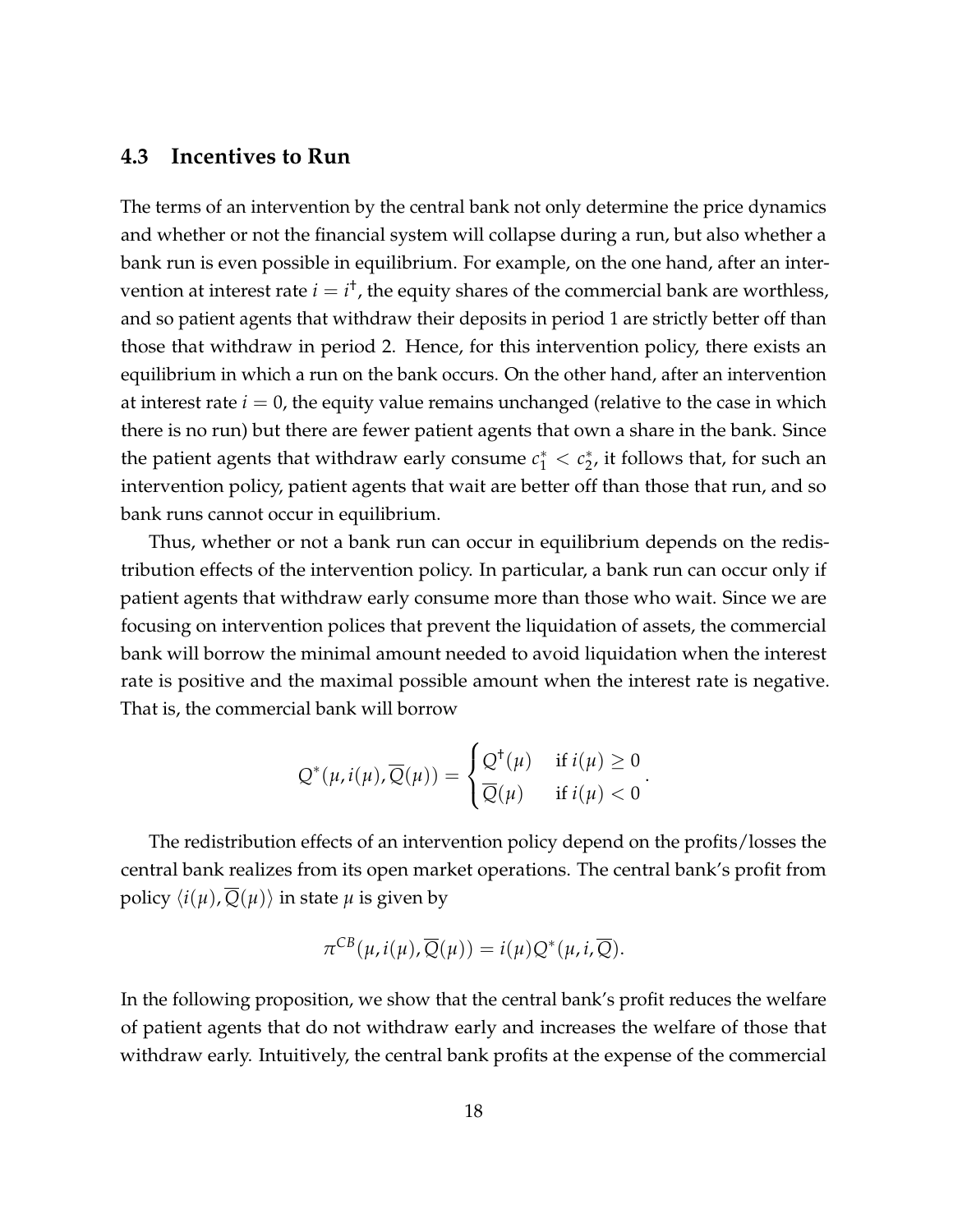#### **4.3 Incentives to Run**

The terms of an intervention by the central bank not only determine the price dynamics and whether or not the financial system will collapse during a run, but also whether a bank run is even possible in equilibrium. For example, on the one hand, after an intervention at interest rate  $i = i^{\dagger}$ , the equity shares of the commercial bank are worthless, and so patient agents that withdraw their deposits in period 1 are strictly better off than those that withdraw in period 2. Hence, for this intervention policy, there exists an equilibrium in which a run on the bank occurs. On the other hand, after an intervention at interest rate  $i = 0$ , the equity value remains unchanged (relative to the case in which there is no run) but there are fewer patient agents that own a share in the bank. Since the patient agents that withdraw early consume  $c_1^* < c_2^*$  $_{2}^{*}$ , it follows that, for such an intervention policy, patient agents that wait are better off than those that run, and so bank runs cannot occur in equilibrium.

Thus, whether or not a bank run can occur in equilibrium depends on the redistribution effects of the intervention policy. In particular, a bank run can occur only if patient agents that withdraw early consume more than those who wait. Since we are focusing on intervention polices that prevent the liquidation of assets, the commercial bank will borrow the minimal amount needed to avoid liquidation when the interest rate is positive and the maximal possible amount when the interest rate is negative. That is, the commercial bank will borrow

$$
Q^*(\mu, i(\mu), \overline{Q}(\mu)) = \begin{cases} Q^{\dagger}(\mu) & \text{if } i(\mu) \ge 0 \\ \overline{Q}(\mu) & \text{if } i(\mu) < 0 \end{cases}.
$$

The redistribution effects of an intervention policy depend on the profits/losses the central bank realizes from its open market operations. The central bank's profit from policy  $\langle i(\mu), \overline{Q}(\mu) \rangle$  in state  $\mu$  is given by

$$
\pi^{CB}(\mu, i(\mu), \overline{Q}(\mu)) = i(\mu)Q^*(\mu, i, \overline{Q}).
$$

In the following proposition, we show that the central bank's profit reduces the welfare of patient agents that do not withdraw early and increases the welfare of those that withdraw early. Intuitively, the central bank profits at the expense of the commercial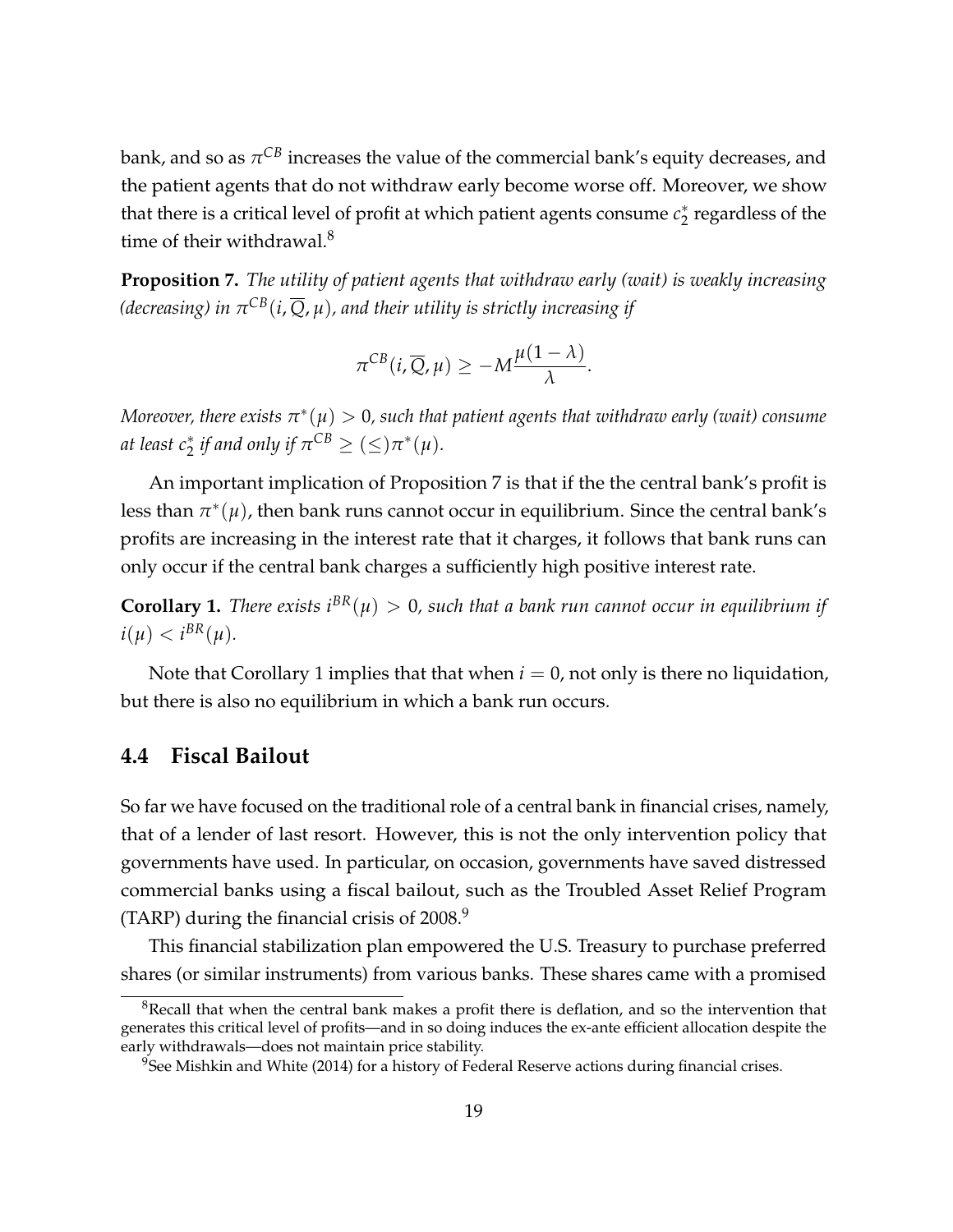bank*,* and so as  $\pi^{CB}$  increases the value of the commercial bank's equity decreases, and the patient agents that do not withdraw early become worse off. Moreover, we show that there is a critical level of profit at which patient agents consume *c* ∗  $_2^*$  regardless of the time of their withdrawal.<sup>[8](#page-19-1)</sup>

<span id="page-19-2"></span>**Proposition 7.** *The utility of patient agents that withdraw early (wait) is weakly increasing (decreasing) in π CB*(*i*, *Q*, *µ*)*, and their utility is strictly increasing if*

$$
\pi^{CB}(i,\overline{Q},\mu) \geq -M\frac{\mu(1-\lambda)}{\lambda}.
$$

 $M$ oreover, there exists  $\pi^*(\mu)>0$ , such that patient agents that withdraw early (wait) consume *at least*  $c_2^*$  *if and only if*  $\pi^{CB} \geq (\leq) \pi^*(\mu)$ *.* 

An important implication of Proposition [7](#page-19-2) is that if the the central bank's profit is less than  $\pi^*(\mu)$ , then bank runs cannot occur in equilibrium. Since the central bank's profits are increasing in the interest rate that it charges, it follows that bank runs can only occur if the central bank charges a sufficiently high positive interest rate.

<span id="page-19-3"></span>**Corollary 1.** *There exists*  $i^{BR}(\mu) > 0$ , such that a bank run cannot occur in equilibrium if  $i(\mu) < i^{BR}(\mu)$ .

Note that Corollary [1](#page-19-3) implies that that when  $i = 0$ , not only is there no liquidation, but there is also no equilibrium in which a bank run occurs.

#### <span id="page-19-0"></span>**4.4 Fiscal Bailout**

So far we have focused on the traditional role of a central bank in financial crises, namely, that of a lender of last resort. However, this is not the only intervention policy that governments have used. In particular, on occasion, governments have saved distressed commercial banks using a fiscal bailout, such as the Troubled Asset Relief Program (TARP) during the financial crisis of  $2008.<sup>9</sup>$  $2008.<sup>9</sup>$  $2008.<sup>9</sup>$ 

This financial stabilization plan empowered the U.S. Treasury to purchase preferred shares (or similar instruments) from various banks. These shares came with a promised

<span id="page-19-1"></span> $8$ Recall that when the central bank makes a profit there is deflation, and so the intervention that generates this critical level of profits—and in so doing induces the ex-ante efficient allocation despite the early withdrawals—does not maintain price stability.

<span id="page-19-4"></span> $9^9$ See [Mishkin and White](#page-29-6) [\(2014\)](#page-29-6) for a history of Federal Reserve actions during financial crises.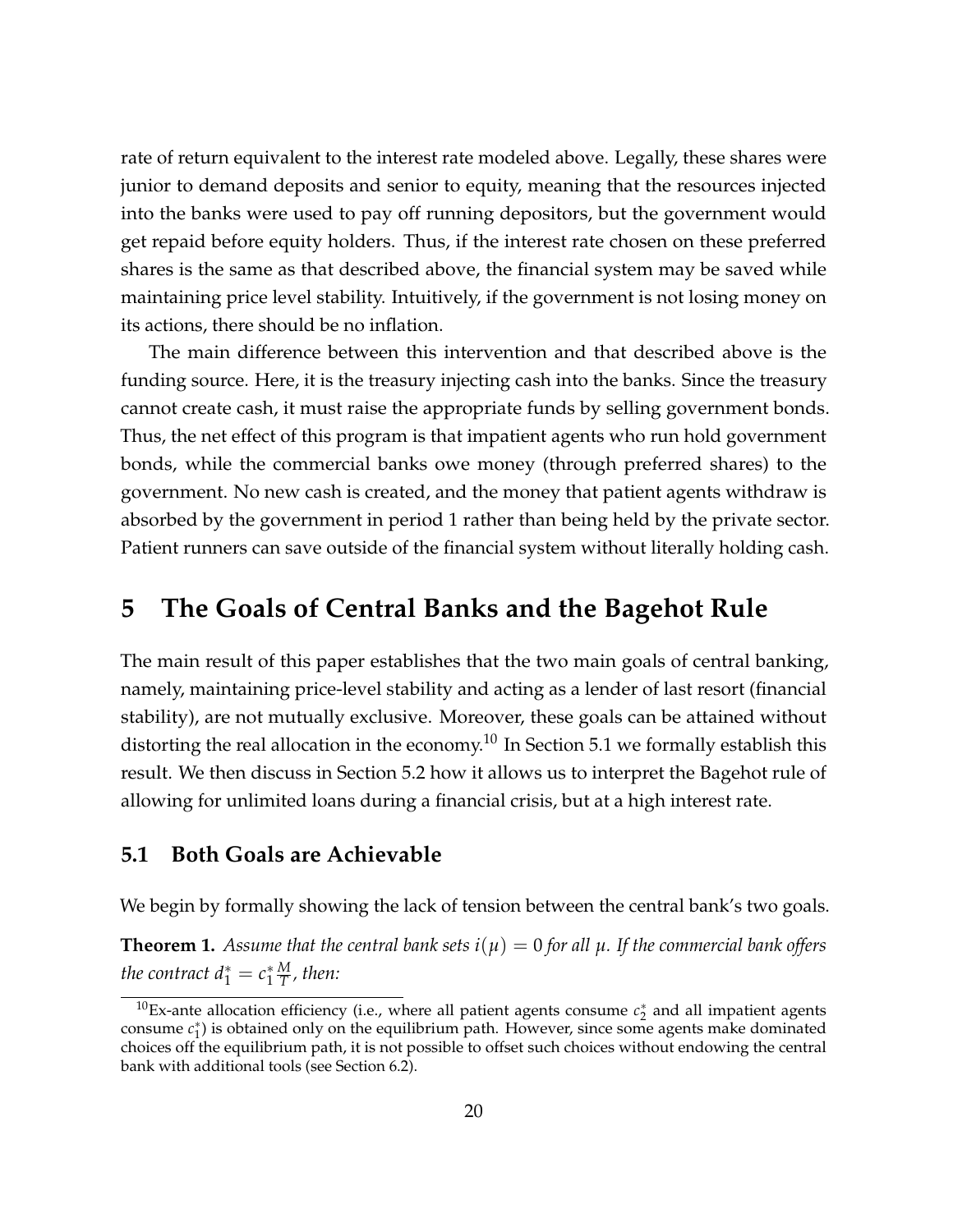rate of return equivalent to the interest rate modeled above. Legally, these shares were junior to demand deposits and senior to equity, meaning that the resources injected into the banks were used to pay off running depositors, but the government would get repaid before equity holders. Thus, if the interest rate chosen on these preferred shares is the same as that described above, the financial system may be saved while maintaining price level stability. Intuitively, if the government is not losing money on its actions, there should be no inflation.

The main difference between this intervention and that described above is the funding source. Here, it is the treasury injecting cash into the banks. Since the treasury cannot create cash, it must raise the appropriate funds by selling government bonds. Thus, the net effect of this program is that impatient agents who run hold government bonds, while the commercial banks owe money (through preferred shares) to the government. No new cash is created, and the money that patient agents withdraw is absorbed by the government in period 1 rather than being held by the private sector. Patient runners can save outside of the financial system without literally holding cash.

### <span id="page-20-0"></span>**5 The Goals of Central Banks and the Bagehot Rule**

The main result of this paper establishes that the two main goals of central banking, namely, maintaining price-level stability and acting as a lender of last resort (financial stability), are not mutually exclusive. Moreover, these goals can be attained without distorting the real allocation in the economy.<sup>[10](#page-20-1)</sup> In Section [5.1](#page-20-2) we formally establish this result. We then discuss in Section [5.2](#page-22-0) how it allows us to interpret the Bagehot rule of allowing for unlimited loans during a financial crisis, but at a high interest rate.

#### <span id="page-20-2"></span>**5.1 Both Goals are Achievable**

We begin by formally showing the lack of tension between the central bank's two goals.

<span id="page-20-3"></span>**Theorem 1.** Assume that the central bank sets  $i(\mu) = 0$  for all  $\mu$ . If the commercial bank offers *the contract*  $d_1^* = c_1^*$ 1 *M T , then:*

<span id="page-20-1"></span> $^{10}$ Ex-ante allocation efficiency (i.e., where all patient agents consume  $c_2^*$  and all impatient agents consume *c*<sup>\*</sup><sub>1</sub>) is obtained only on the equilibrium path. However, since some agents make dominated choices off the equilibrium path, it is not possible to offset such choices without endowing the central bank with additional tools (see Section [6.2\)](#page-26-0).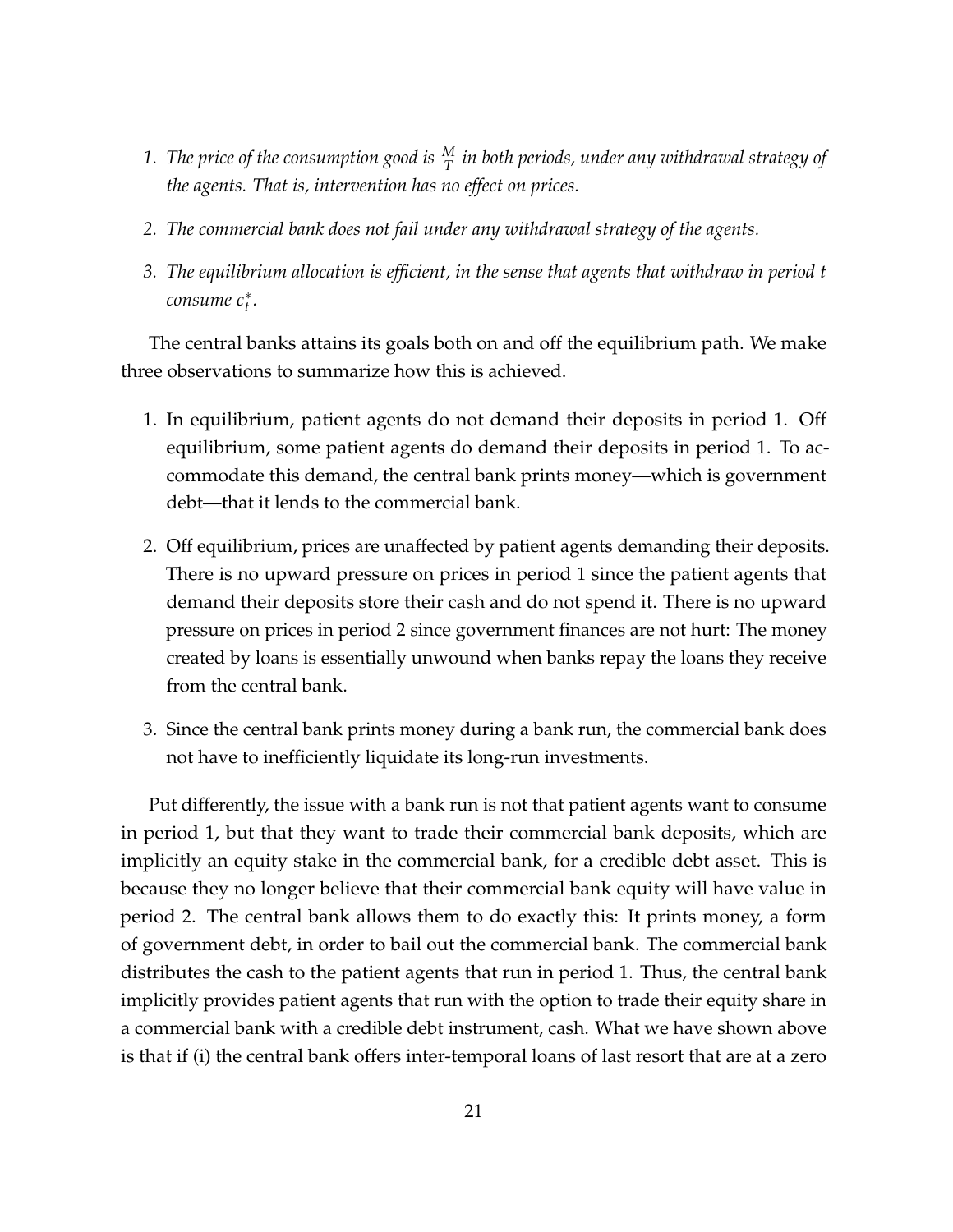- 1. *The price of the consumption good is*  $\frac{M}{T}$  *in both periods, under any withdrawal strategy of the agents. That is, intervention has no effect on prices.*
- *2. The commercial bank does not fail under any withdrawal strategy of the agents.*
- *3. The equilibrium allocation is efficient, in the sense that agents that withdraw in period t consume c*<sup>∗</sup> *t .*

The central banks attains its goals both on and off the equilibrium path. We make three observations to summarize how this is achieved.

- 1. In equilibrium, patient agents do not demand their deposits in period 1. Off equilibrium, some patient agents do demand their deposits in period 1. To accommodate this demand, the central bank prints money—which is government debt—that it lends to the commercial bank.
- 2. Off equilibrium, prices are unaffected by patient agents demanding their deposits. There is no upward pressure on prices in period 1 since the patient agents that demand their deposits store their cash and do not spend it. There is no upward pressure on prices in period 2 since government finances are not hurt: The money created by loans is essentially unwound when banks repay the loans they receive from the central bank.
- 3. Since the central bank prints money during a bank run, the commercial bank does not have to inefficiently liquidate its long-run investments.

Put differently, the issue with a bank run is not that patient agents want to consume in period 1, but that they want to trade their commercial bank deposits, which are implicitly an equity stake in the commercial bank, for a credible debt asset. This is because they no longer believe that their commercial bank equity will have value in period 2. The central bank allows them to do exactly this: It prints money, a form of government debt, in order to bail out the commercial bank. The commercial bank distributes the cash to the patient agents that run in period 1. Thus, the central bank implicitly provides patient agents that run with the option to trade their equity share in a commercial bank with a credible debt instrument, cash. What we have shown above is that if (i) the central bank offers inter-temporal loans of last resort that are at a zero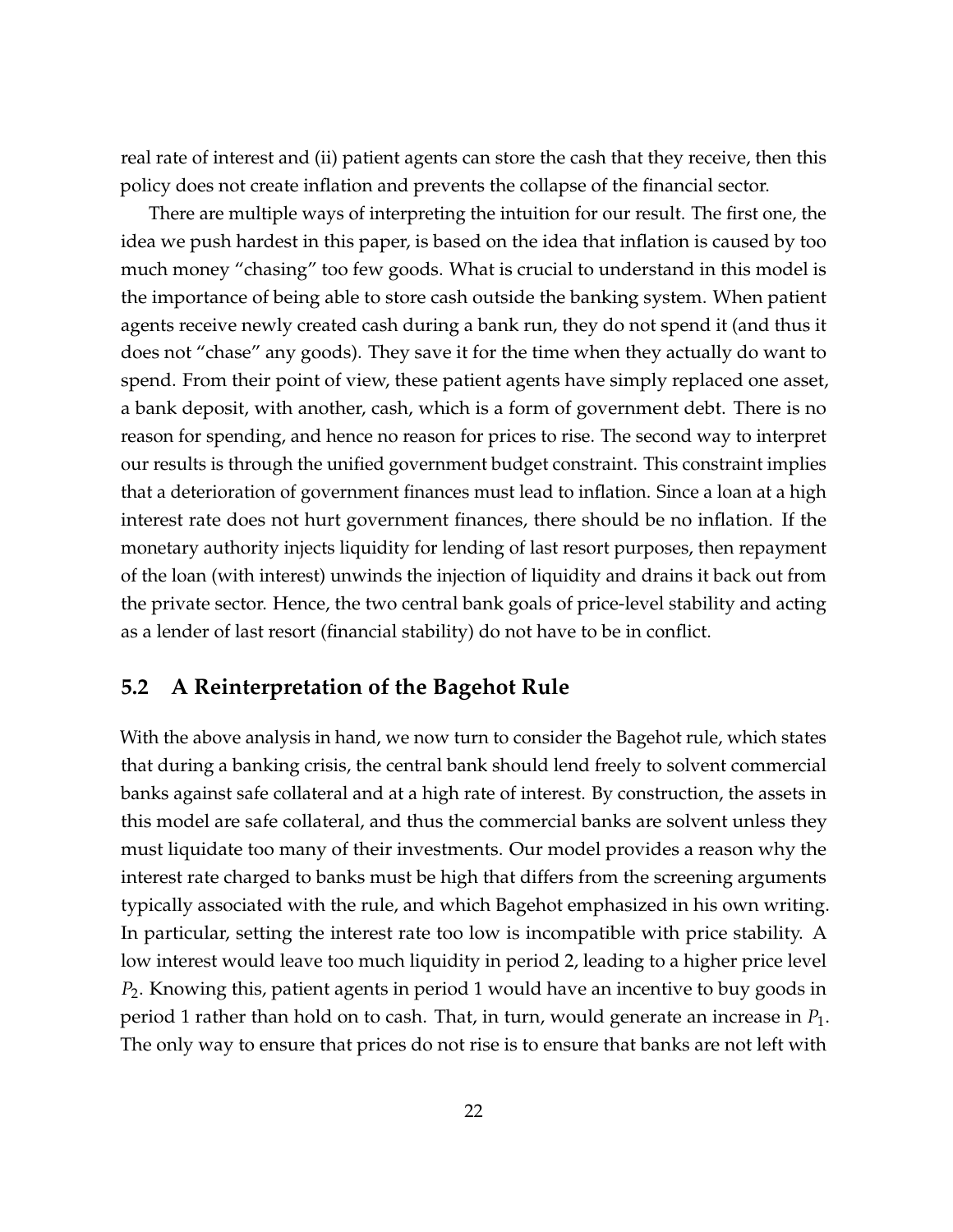real rate of interest and (ii) patient agents can store the cash that they receive, then this policy does not create inflation and prevents the collapse of the financial sector.

There are multiple ways of interpreting the intuition for our result. The first one, the idea we push hardest in this paper, is based on the idea that inflation is caused by too much money "chasing" too few goods. What is crucial to understand in this model is the importance of being able to store cash outside the banking system. When patient agents receive newly created cash during a bank run, they do not spend it (and thus it does not "chase" any goods). They save it for the time when they actually do want to spend. From their point of view, these patient agents have simply replaced one asset, a bank deposit, with another, cash, which is a form of government debt. There is no reason for spending, and hence no reason for prices to rise. The second way to interpret our results is through the unified government budget constraint. This constraint implies that a deterioration of government finances must lead to inflation. Since a loan at a high interest rate does not hurt government finances, there should be no inflation. If the monetary authority injects liquidity for lending of last resort purposes, then repayment of the loan (with interest) unwinds the injection of liquidity and drains it back out from the private sector. Hence, the two central bank goals of price-level stability and acting as a lender of last resort (financial stability) do not have to be in conflict.

#### <span id="page-22-0"></span>**5.2 A Reinterpretation of the Bagehot Rule**

With the above analysis in hand, we now turn to consider the Bagehot rule, which states that during a banking crisis, the central bank should lend freely to solvent commercial banks against safe collateral and at a high rate of interest. By construction, the assets in this model are safe collateral, and thus the commercial banks are solvent unless they must liquidate too many of their investments. Our model provides a reason why the interest rate charged to banks must be high that differs from the screening arguments typically associated with the rule, and which Bagehot emphasized in his own writing. In particular, setting the interest rate too low is incompatible with price stability. A low interest would leave too much liquidity in period 2, leading to a higher price level *P*2. Knowing this, patient agents in period 1 would have an incentive to buy goods in period 1 rather than hold on to cash. That, in turn, would generate an increase in *P*1. The only way to ensure that prices do not rise is to ensure that banks are not left with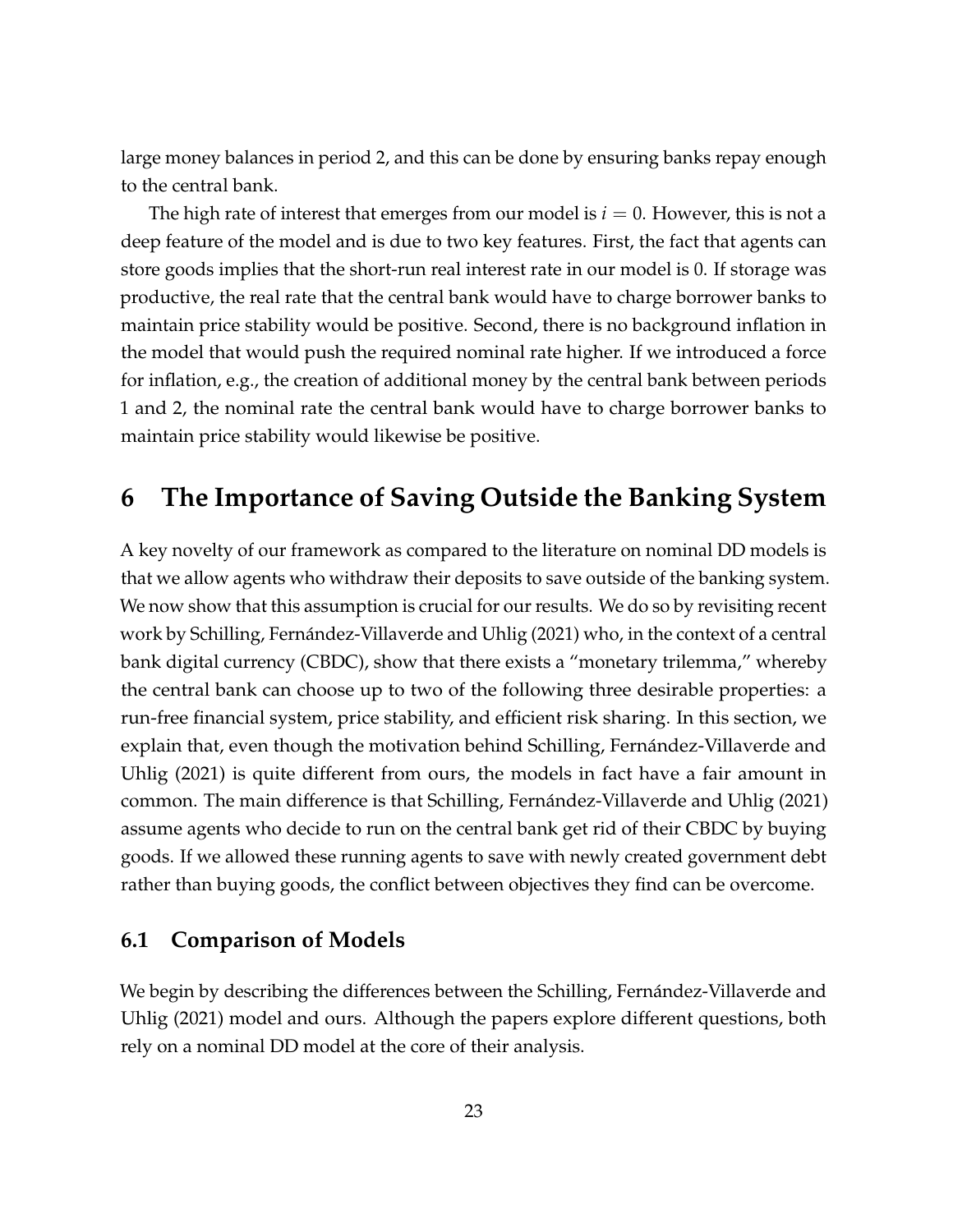large money balances in period 2, and this can be done by ensuring banks repay enough to the central bank.

The high rate of interest that emerges from our model is  $i = 0$ . However, this is not a deep feature of the model and is due to two key features. First, the fact that agents can store goods implies that the short-run real interest rate in our model is 0. If storage was productive, the real rate that the central bank would have to charge borrower banks to maintain price stability would be positive. Second, there is no background inflation in the model that would push the required nominal rate higher. If we introduced a force for inflation, e.g., the creation of additional money by the central bank between periods 1 and 2, the nominal rate the central bank would have to charge borrower banks to maintain price stability would likewise be positive.

# <span id="page-23-0"></span>**6 The Importance of Saving Outside the Banking System**

A key novelty of our framework as compared to the literature on nominal DD models is that we allow agents who withdraw their deposits to save outside of the banking system. We now show that this assumption is crucial for our results. We do so by revisiting recent work by [Schilling, Fernández-Villaverde and Uhlig](#page-29-1) [\(2021\)](#page-29-1) who, in the context of a central bank digital currency (CBDC), show that there exists a "monetary trilemma," whereby the central bank can choose up to two of the following three desirable properties: a run-free financial system, price stability, and efficient risk sharing. In this section, we explain that, even though the motivation behind [Schilling, Fernández-Villaverde and](#page-29-1) [Uhlig](#page-29-1) [\(2021\)](#page-29-1) is quite different from ours, the models in fact have a fair amount in common. The main difference is that [Schilling, Fernández-Villaverde and Uhlig](#page-29-1) [\(2021\)](#page-29-1) assume agents who decide to run on the central bank get rid of their CBDC by buying goods. If we allowed these running agents to save with newly created government debt rather than buying goods, the conflict between objectives they find can be overcome.

#### **6.1 Comparison of Models**

We begin by describing the differences between the [Schilling, Fernández-Villaverde and](#page-29-1) [Uhlig](#page-29-1) [\(2021\)](#page-29-1) model and ours. Although the papers explore different questions, both rely on a nominal DD model at the core of their analysis.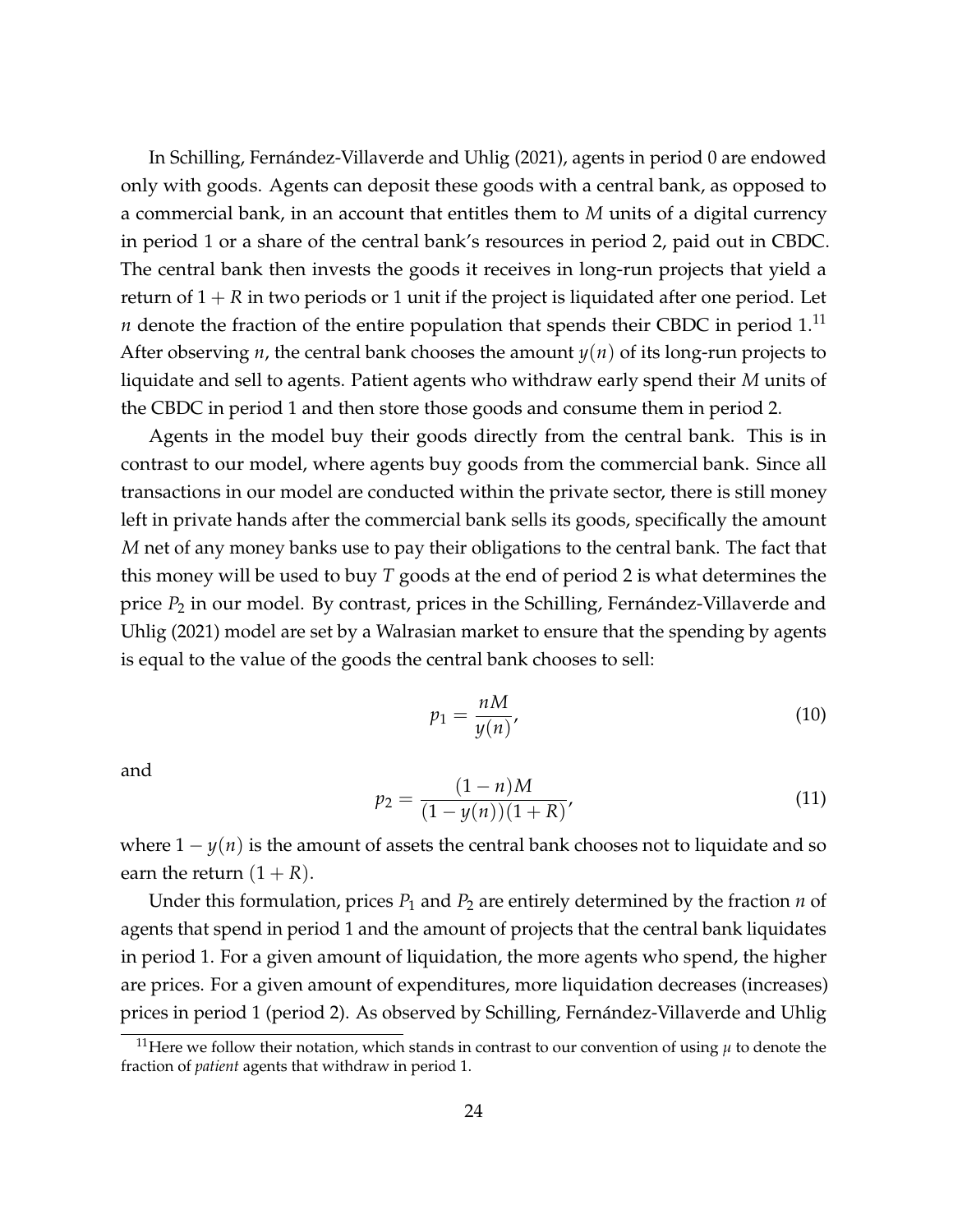In [Schilling, Fernández-Villaverde and Uhlig](#page-29-1) [\(2021\)](#page-29-1), agents in period 0 are endowed only with goods. Agents can deposit these goods with a central bank, as opposed to a commercial bank, in an account that entitles them to *M* units of a digital currency in period 1 or a share of the central bank's resources in period 2, paid out in CBDC. The central bank then invests the goods it receives in long-run projects that yield a return of  $1 + R$  in two periods or 1 unit if the project is liquidated after one period. Let *n* denote the fraction of the entire population that spends their CBDC in period  $1<sup>11</sup>$  $1<sup>11</sup>$  $1<sup>11</sup>$ After observing *n*, the central bank chooses the amount *y*(*n*) of its long-run projects to liquidate and sell to agents. Patient agents who withdraw early spend their *M* units of the CBDC in period 1 and then store those goods and consume them in period 2.

Agents in the model buy their goods directly from the central bank. This is in contrast to our model, where agents buy goods from the commercial bank. Since all transactions in our model are conducted within the private sector, there is still money left in private hands after the commercial bank sells its goods, specifically the amount *M* net of any money banks use to pay their obligations to the central bank. The fact that this money will be used to buy *T* goods at the end of period 2 is what determines the price *P*<sup>2</sup> in our model. By contrast, prices in the [Schilling, Fernández-Villaverde and](#page-29-1) [Uhlig](#page-29-1) [\(2021\)](#page-29-1) model are set by a Walrasian market to ensure that the spending by agents is equal to the value of the goods the central bank chooses to sell:

<span id="page-24-1"></span>
$$
p_1 = \frac{nM}{y(n)},\tag{10}
$$

and

$$
p_2 = \frac{(1-n)M}{(1-y(n))(1+R)},
$$
\n(11)

where  $1 - y(n)$  is the amount of assets the central bank chooses not to liquidate and so earn the return  $(1 + R)$ .

Under this formulation, prices *P*<sup>1</sup> and *P*<sup>2</sup> are entirely determined by the fraction *n* of agents that spend in period 1 and the amount of projects that the central bank liquidates in period 1. For a given amount of liquidation, the more agents who spend, the higher are prices. For a given amount of expenditures, more liquidation decreases (increases) prices in period 1 (period 2). As observed by [Schilling, Fernández-Villaverde and Uhlig](#page-29-1)

<span id="page-24-0"></span><sup>&</sup>lt;sup>11</sup>Here we follow their notation, which stands in contrast to our convention of using  $\mu$  to denote the fraction of *patient* agents that withdraw in period 1.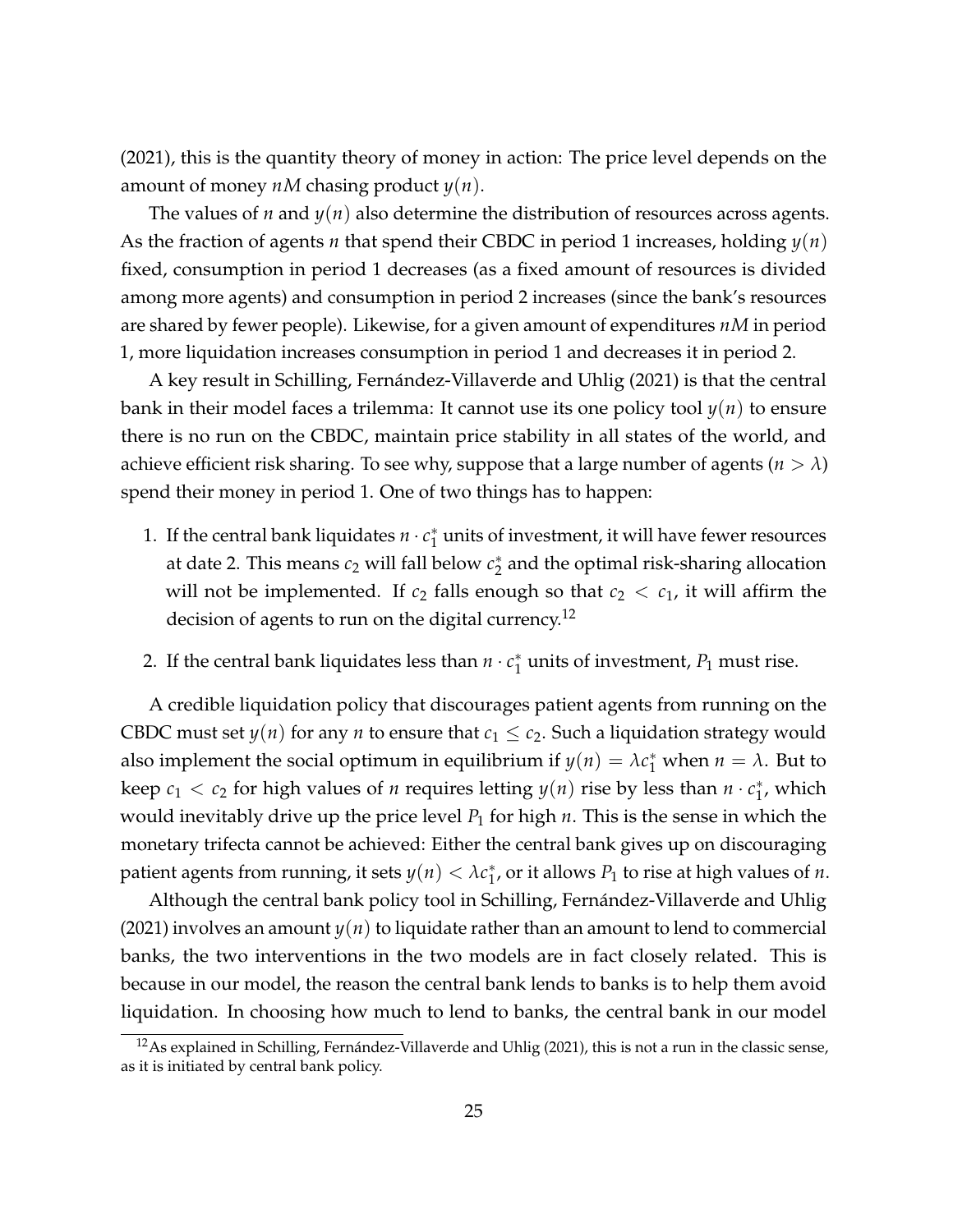[\(2021\)](#page-29-1), this is the quantity theory of money in action: The price level depends on the amount of money *nM* chasing product *y*(*n*).

The values of *n* and *y*(*n*) also determine the distribution of resources across agents. As the fraction of agents *n* that spend their CBDC in period 1 increases, holding *y*(*n*) fixed, consumption in period 1 decreases (as a fixed amount of resources is divided among more agents) and consumption in period 2 increases (since the bank's resources are shared by fewer people). Likewise, for a given amount of expenditures *nM* in period 1, more liquidation increases consumption in period 1 and decreases it in period 2.

A key result in [Schilling, Fernández-Villaverde and Uhlig](#page-29-1) [\(2021\)](#page-29-1) is that the central bank in their model faces a trilemma: It cannot use its one policy tool *y*(*n*) to ensure there is no run on the CBDC, maintain price stability in all states of the world, and achieve efficient risk sharing. To see why, suppose that a large number of agents ( $n > \lambda$ ) spend their money in period 1. One of two things has to happen:

- 1. If the central bank liquidates  $n \cdot c_1^*$  $_1^\ast$  units of investment, it will have fewer resources at date 2. This means  $c_2$  will fall below  $c_2^*$  $_2^{\ast}$  and the optimal risk-sharing allocation will not be implemented. If  $c_2$  falls enough so that  $c_2 < c_1$ , it will affirm the decision of agents to run on the digital currency.<sup>[12](#page-25-0)</sup>
- 2. If the central bank liquidates less than  $n \cdot c_1^*$  $_1^*$  units of investment*, P*<sub>1</sub> must rise.

A credible liquidation policy that discourages patient agents from running on the CBDC must set  $y(n)$  for any *n* to ensure that  $c_1 \leq c_2$ . Such a liquidation strategy would also implement the social optimum in equilibrium if  $y(n) = \lambda c_1^*$  when  $n = \lambda$ . But to keep  $c_1 < c_2$  for high values of *n* requires letting  $y(n)$  rise by less than  $n \cdot c_1^*$  $_1^*$ , which would inevitably drive up the price level *P*<sup>1</sup> for high *n*. This is the sense in which the monetary trifecta cannot be achieved: Either the central bank gives up on discouraging patient agents from running, it sets  $y(n) < \lambda c_1^*$  $_{1}^{*}$ , or it allows  $P_{1}$  to rise at high values of *n*.

Although the central bank policy tool in [Schilling, Fernández-Villaverde and Uhlig](#page-29-1) [\(2021\)](#page-29-1) involves an amount *y*(*n*) to liquidate rather than an amount to lend to commercial banks, the two interventions in the two models are in fact closely related. This is because in our model, the reason the central bank lends to banks is to help them avoid liquidation. In choosing how much to lend to banks, the central bank in our model

<span id="page-25-0"></span><sup>&</sup>lt;sup>12</sup>As explained in [Schilling, Fernández-Villaverde and Uhlig](#page-29-1) [\(2021\)](#page-29-1), this is not a run in the classic sense, as it is initiated by central bank policy.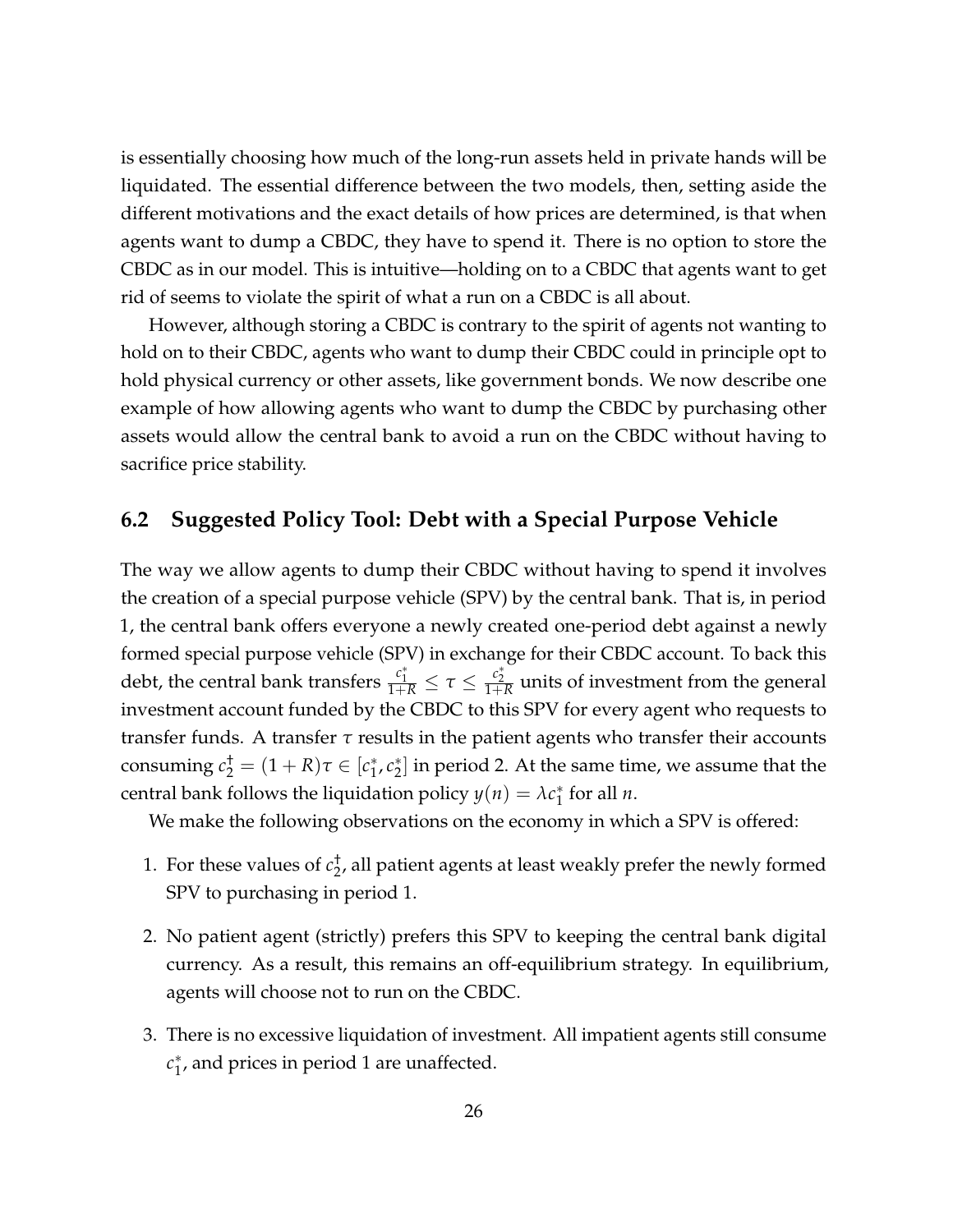is essentially choosing how much of the long-run assets held in private hands will be liquidated. The essential difference between the two models, then, setting aside the different motivations and the exact details of how prices are determined, is that when agents want to dump a CBDC, they have to spend it. There is no option to store the CBDC as in our model. This is intuitive—holding on to a CBDC that agents want to get rid of seems to violate the spirit of what a run on a CBDC is all about.

However, although storing a CBDC is contrary to the spirit of agents not wanting to hold on to their CBDC, agents who want to dump their CBDC could in principle opt to hold physical currency or other assets, like government bonds. We now describe one example of how allowing agents who want to dump the CBDC by purchasing other assets would allow the central bank to avoid a run on the CBDC without having to sacrifice price stability.

#### <span id="page-26-0"></span>**6.2 Suggested Policy Tool: Debt with a Special Purpose Vehicle**

The way we allow agents to dump their CBDC without having to spend it involves the creation of a special purpose vehicle (SPV) by the central bank. That is, in period 1, the central bank offers everyone a newly created one-period debt against a newly formed special purpose vehicle (SPV) in exchange for their CBDC account. To back this debt, the central bank transfers  $\frac{c_1^*}{1+R} \leq \tau \leq \frac{c_2^*}{1+R}$  units of investment from the general investment account funded by the CBDC to this SPV for every agent who requests to transfer funds. A transfer *τ* results in the patient agents who transfer their accounts consuming  $c_2^{\dagger} = (1 + R)\tau \in [c_1^*]$ 1 , *c* ∗  $_{2}^{\ast}]$  in period 2. At the same time, we assume that the central bank follows the liquidation policy  $y(n) = \lambda c_1^*$  $_1^*$  for all *n*.

We make the following observations on the economy in which a SPV is offered:

- 1. For these values of  $c_2^{\dagger}$  $_{2}^{\tau}$ , all patient agents at least weakly prefer the newly formed SPV to purchasing in period 1.
- 2. No patient agent (strictly) prefers this SPV to keeping the central bank digital currency. As a result, this remains an off-equilibrium strategy. In equilibrium, agents will choose not to run on the CBDC.
- 3. There is no excessive liquidation of investment. All impatient agents still consume *c* ∗  $_{1}^{*}$ , and prices in period 1 are unaffected.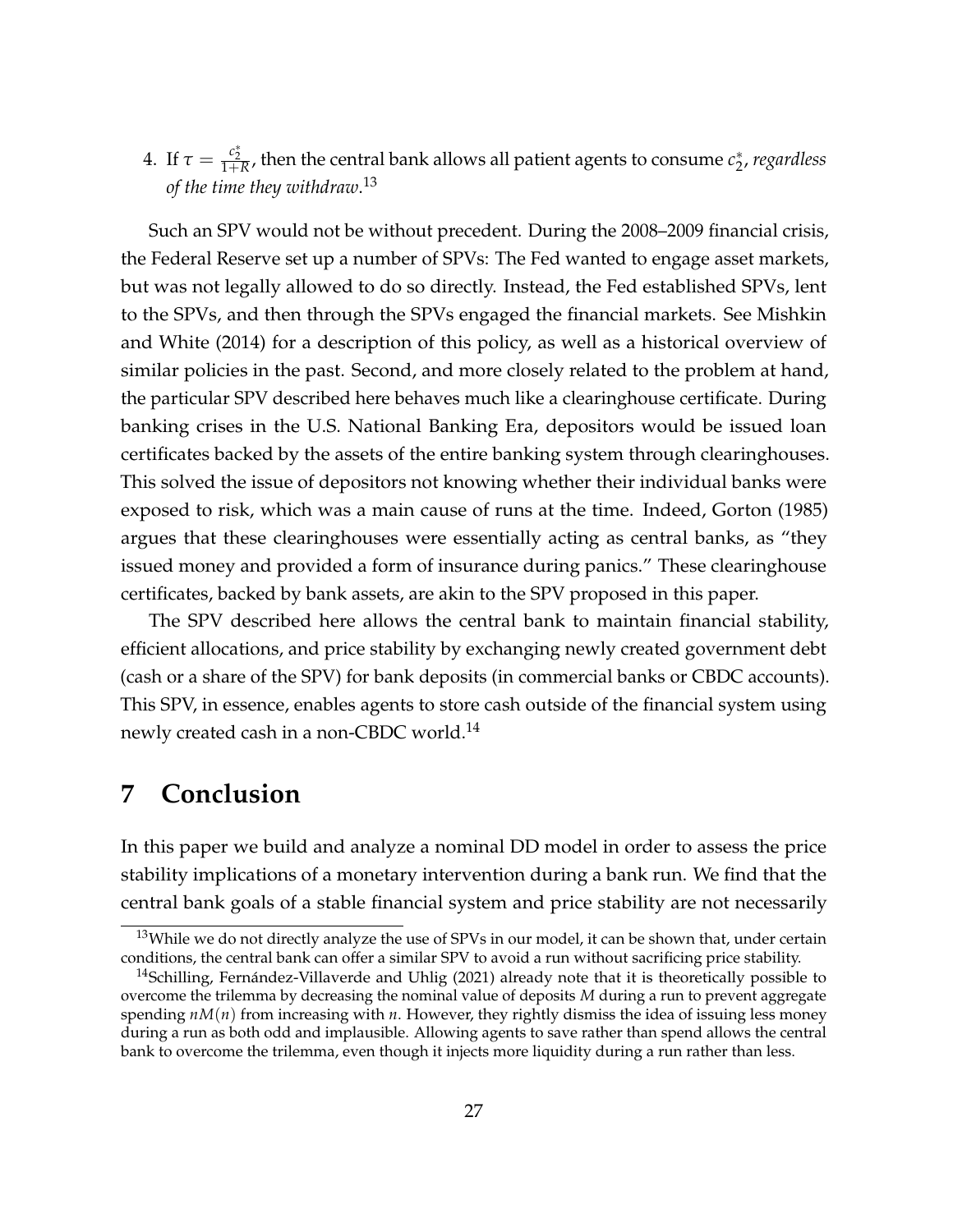4. If  $\tau = \frac{c_2^*}{1+R}$ , then the central bank allows all patient agents to consume  $c_2^*$ 2 , *regardless of the time they withdraw*. [13](#page-27-1)

Such an SPV would not be without precedent. During the 2008–2009 financial crisis, the Federal Reserve set up a number of SPVs: The Fed wanted to engage asset markets, but was not legally allowed to do so directly. Instead, the Fed established SPVs, lent to the SPVs, and then through the SPVs engaged the financial markets. See [Mishkin](#page-29-6) [and White](#page-29-6) [\(2014\)](#page-29-6) for a description of this policy, as well as a historical overview of similar policies in the past. Second, and more closely related to the problem at hand, the particular SPV described here behaves much like a clearinghouse certificate. During banking crises in the U.S. National Banking Era, depositors would be issued loan certificates backed by the assets of the entire banking system through clearinghouses. This solved the issue of depositors not knowing whether their individual banks were exposed to risk, which was a main cause of runs at the time. Indeed, [Gorton](#page-29-8) [\(1985\)](#page-29-8) argues that these clearinghouses were essentially acting as central banks, as "they issued money and provided a form of insurance during panics." These clearinghouse certificates, backed by bank assets, are akin to the SPV proposed in this paper.

The SPV described here allows the central bank to maintain financial stability, efficient allocations, and price stability by exchanging newly created government debt (cash or a share of the SPV) for bank deposits (in commercial banks or CBDC accounts). This SPV, in essence, enables agents to store cash outside of the financial system using newly created cash in a non-CBDC world.<sup>[14](#page-27-2)</sup>

### <span id="page-27-0"></span>**7 Conclusion**

In this paper we build and analyze a nominal DD model in order to assess the price stability implications of a monetary intervention during a bank run. We find that the central bank goals of a stable financial system and price stability are not necessarily

<span id="page-27-1"></span><sup>&</sup>lt;sup>13</sup>While we do not directly analyze the use of SPVs in our model, it can be shown that, under certain conditions, the central bank can offer a similar SPV to avoid a run without sacrificing price stability.

<span id="page-27-2"></span><sup>&</sup>lt;sup>14</sup>[Schilling, Fernández-Villaverde and Uhlig](#page-29-1) [\(2021\)](#page-29-1) already note that it is theoretically possible to overcome the trilemma by decreasing the nominal value of deposits *M* during a run to prevent aggregate spending *nM*(*n*) from increasing with *n*. However, they rightly dismiss the idea of issuing less money during a run as both odd and implausible. Allowing agents to save rather than spend allows the central bank to overcome the trilemma, even though it injects more liquidity during a run rather than less.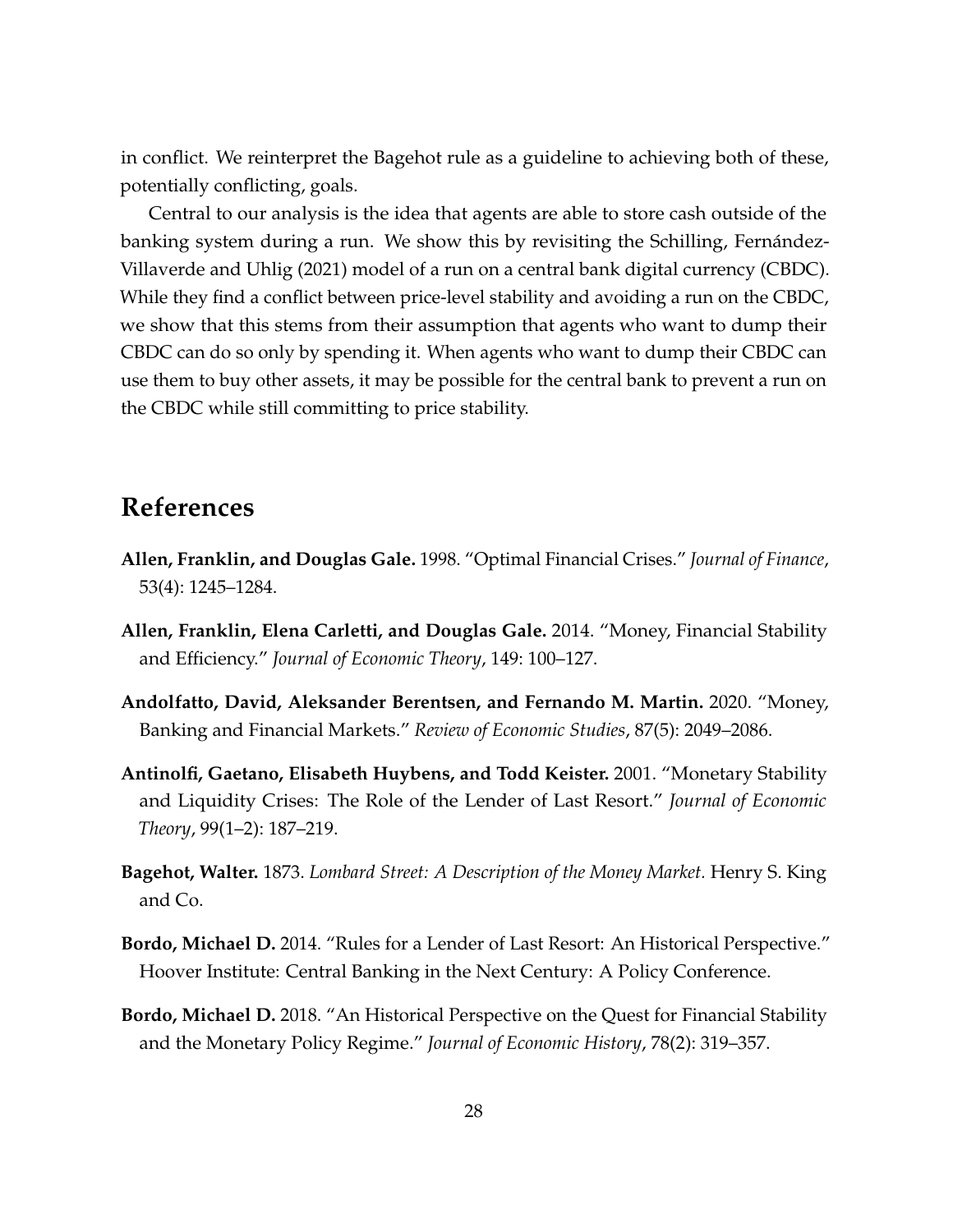in conflict. We reinterpret the Bagehot rule as a guideline to achieving both of these, potentially conflicting, goals.

Central to our analysis is the idea that agents are able to store cash outside of the banking system during a run. We show this by revisiting the [Schilling, Fernández-](#page-29-1)[Villaverde and Uhlig](#page-29-1) [\(2021\)](#page-29-1) model of a run on a central bank digital currency (CBDC). While they find a conflict between price-level stability and avoiding a run on the CBDC, we show that this stems from their assumption that agents who want to dump their CBDC can do so only by spending it. When agents who want to dump their CBDC can use them to buy other assets, it may be possible for the central bank to prevent a run on the CBDC while still committing to price stability.

# **References**

- <span id="page-28-4"></span>**Allen, Franklin, and Douglas Gale.** 1998. "Optimal Financial Crises." *Journal of Finance*, 53(4): 1245–1284.
- <span id="page-28-5"></span>**Allen, Franklin, Elena Carletti, and Douglas Gale.** 2014. "Money, Financial Stability and Efficiency." *Journal of Economic Theory*, 149: 100–127.
- <span id="page-28-2"></span>**Andolfatto, David, Aleksander Berentsen, and Fernando M. Martin.** 2020. "Money, Banking and Financial Markets." *Review of Economic Studies*, 87(5): 2049–2086.
- <span id="page-28-3"></span>**Antinolfi, Gaetano, Elisabeth Huybens, and Todd Keister.** 2001. "Monetary Stability and Liquidity Crises: The Role of the Lender of Last Resort." *Journal of Economic Theory*, 99(1–2): 187–219.
- <span id="page-28-1"></span>**Bagehot, Walter.** 1873. *Lombard Street: A Description of the Money Market.* Henry S. King and Co.
- <span id="page-28-6"></span>**Bordo, Michael D.** 2014. "Rules for a Lender of Last Resort: An Historical Perspective." Hoover Institute: Central Banking in the Next Century: A Policy Conference.
- <span id="page-28-0"></span>**Bordo, Michael D.** 2018. "An Historical Perspective on the Quest for Financial Stability and the Monetary Policy Regime." *Journal of Economic History*, 78(2): 319–357.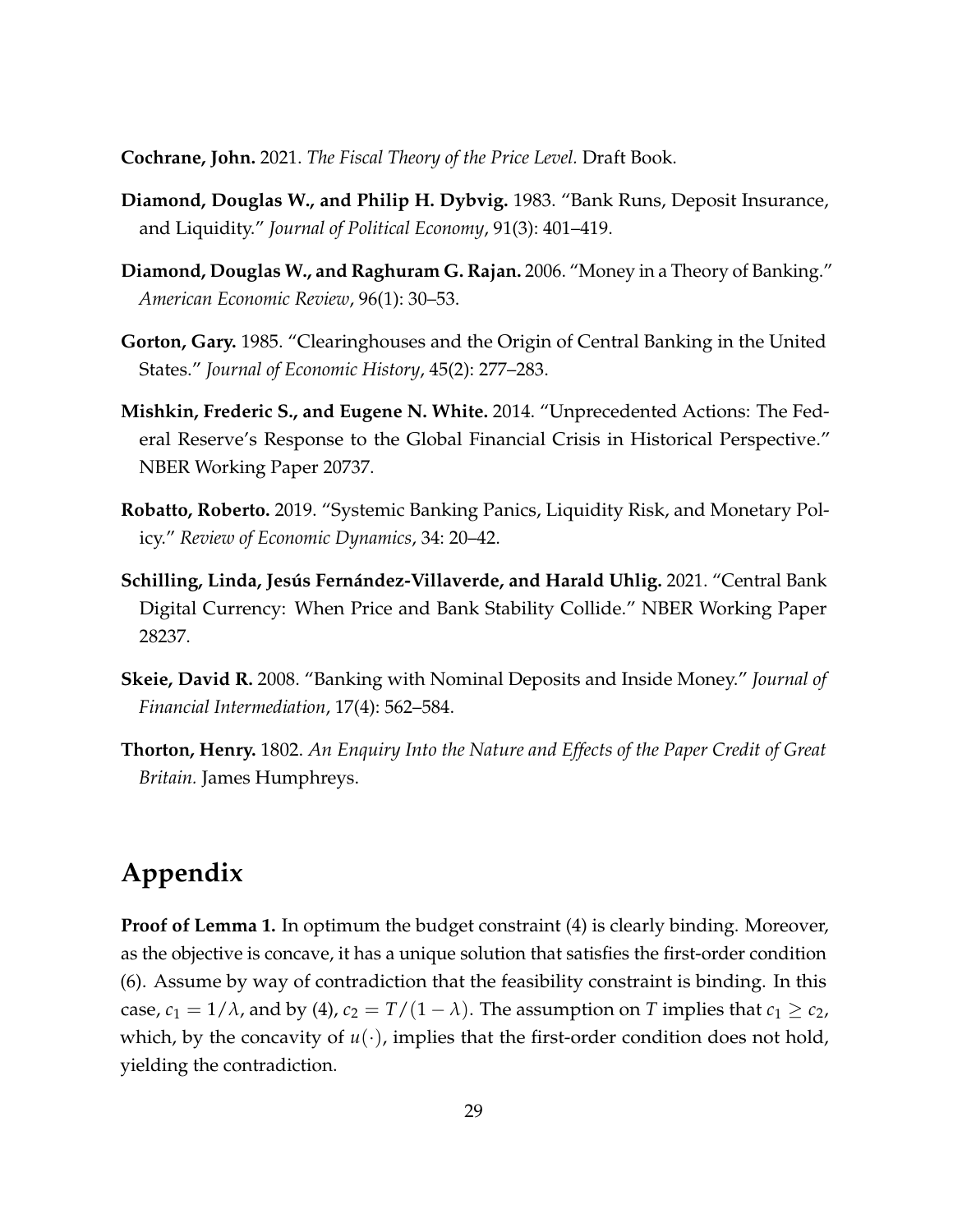<span id="page-29-7"></span>**Cochrane, John.** 2021. *The Fiscal Theory of the Price Level.* Draft Book.

- <span id="page-29-0"></span>**Diamond, Douglas W., and Philip H. Dybvig.** 1983. "Bank Runs, Deposit Insurance, and Liquidity." *Journal of Political Economy*, 91(3): 401–419.
- <span id="page-29-4"></span>**Diamond, Douglas W., and Raghuram G. Rajan.** 2006. "Money in a Theory of Banking." *American Economic Review*, 96(1): 30–53.
- <span id="page-29-8"></span>**Gorton, Gary.** 1985. "Clearinghouses and the Origin of Central Banking in the United States." *Journal of Economic History*, 45(2): 277–283.
- <span id="page-29-6"></span>**Mishkin, Frederic S., and Eugene N. White.** 2014. "Unprecedented Actions: The Federal Reserve's Response to the Global Financial Crisis in Historical Perspective." NBER Working Paper 20737.
- <span id="page-29-5"></span>**Robatto, Roberto.** 2019. "Systemic Banking Panics, Liquidity Risk, and Monetary Policy." *Review of Economic Dynamics*, 34: 20–42.
- <span id="page-29-1"></span>**Schilling, Linda, Jesús Fernández-Villaverde, and Harald Uhlig.** 2021. "Central Bank Digital Currency: When Price and Bank Stability Collide." NBER Working Paper 28237.
- <span id="page-29-3"></span>**Skeie, David R.** 2008. "Banking with Nominal Deposits and Inside Money." *Journal of Financial Intermediation*, 17(4): 562–584.
- <span id="page-29-2"></span>**Thorton, Henry.** 1802. *An Enquiry Into the Nature and Effects of the Paper Credit of Great Britain.* James Humphreys.

# **Appendix**

**Proof of Lemma [1.](#page-10-3)** In optimum the budget constraint [\(4\)](#page-10-0) is clearly binding. Moreover, as the objective is concave, it has a unique solution that satisfies the first-order condition [\(6\)](#page-10-2). Assume by way of contradiction that the feasibility constraint is binding. In this case,  $c_1 = 1/\lambda$ , and by [\(4\)](#page-10-0),  $c_2 = T/(1-\lambda)$ . The assumption on *T* implies that  $c_1 \ge c_2$ , which, by the concavity of  $u(\cdot)$ , implies that the first-order condition does not hold, yielding the contradiction.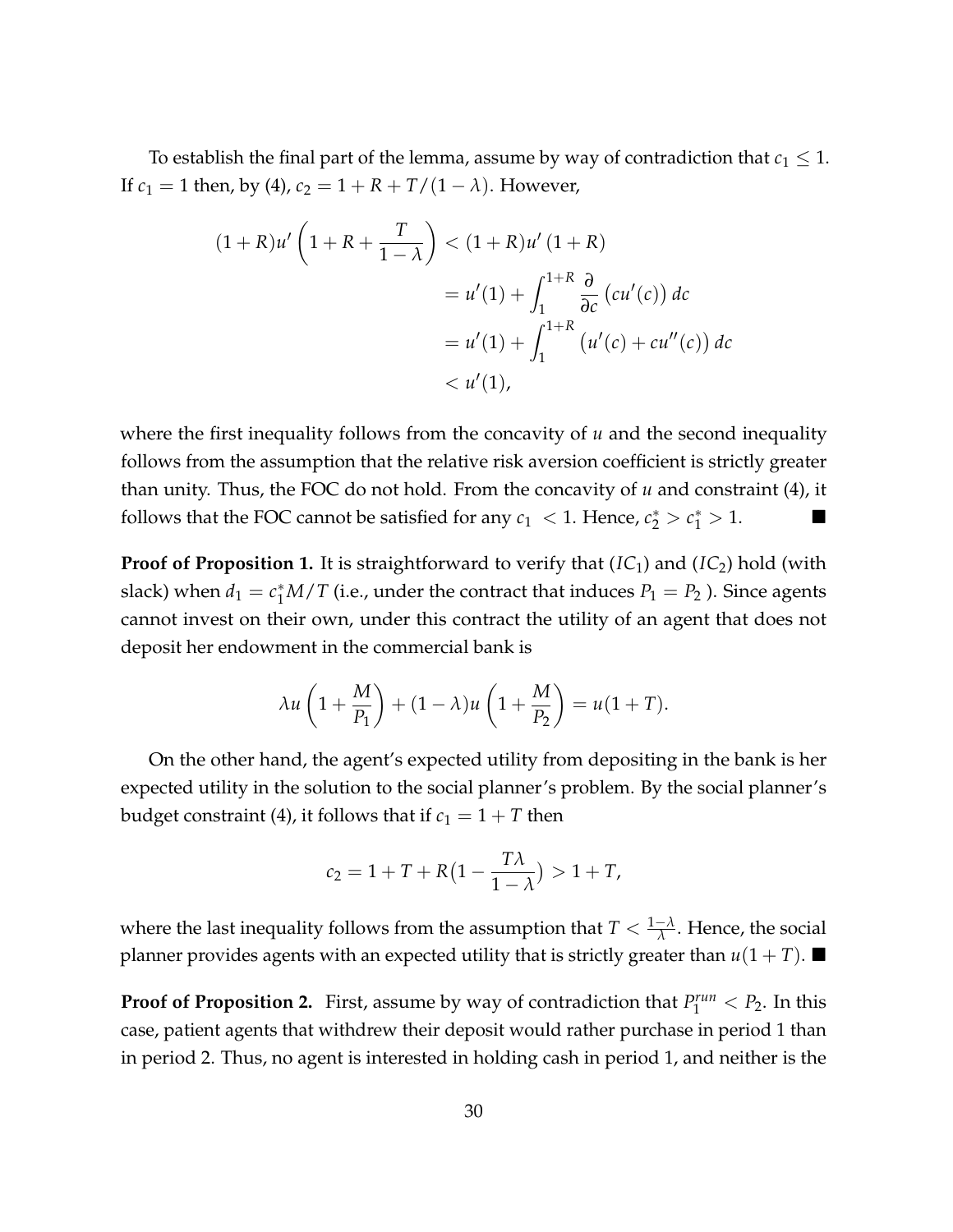To establish the final part of the lemma, assume by way of contradiction that  $c_1 \leq 1$ . If  $c_1 = 1$  then, by [\(4\)](#page-10-0),  $c_2 = 1 + R + T/(1 - \lambda)$ . However,

$$
(1+R)u'\left(1+R+\frac{T}{1-\lambda}\right) < (1+R)u'\left(1+R\right) \\
= u'(1) + \int_{1}^{1+R} \frac{\partial}{\partial c} \left(cu'(c)\right) dc \\
= u'(1) + \int_{1}^{1+R} \left(u'(c) + cu''(c)\right) dc \\
< u'(1),
$$

where the first inequality follows from the concavity of *u* and the second inequality follows from the assumption that the relative risk aversion coefficient is strictly greater than unity. Thus, the FOC do not hold. From the concavity of *u* and constraint [\(4\)](#page-10-0), it follows that the FOC cannot be satisfied for any  $c_1 < 1$ . Hence,  $c_2^* > c_1^* > 1$ .

**Proof of Proposition [1.](#page-13-1)** It is straightforward to verify that (*[IC](#page-12-2)*<sub>1</sub>) and (*IC*<sub>2</sub>) hold (with slack) when  $d_1 = c_1^* M / T$  (i.e., under the contract that induces  $P_1 = P_2$  ). Since agents cannot invest on their own, under this contract the utility of an agent that does not deposit her endowment in the commercial bank is

$$
\lambda u\left(1+\frac{M}{P_1}\right)+(1-\lambda)u\left(1+\frac{M}{P_2}\right)=u(1+T).
$$

On the other hand, the agent's expected utility from depositing in the bank is her expected utility in the solution to the social planner's problem. By the social planner's budget constraint [\(4\)](#page-10-0), it follows that if  $c_1 = 1 + T$  then

$$
c_2 = 1 + T + R\left(1 - \frac{T\lambda}{1 - \lambda}\right) > 1 + T,
$$

where the last inequality follows from the assumption that  $T < \frac{1-\lambda}{\lambda}$ . Hence, the social planner provides agents with an expected utility that is strictly greater than  $u(1+T)$ .

**Proof of Proposition [2.](#page-13-2)** First, assume by way of contradiction that  $P_1^{run} < P_2$ . In this case, patient agents that withdrew their deposit would rather purchase in period 1 than in period 2. Thus, no agent is interested in holding cash in period 1, and neither is the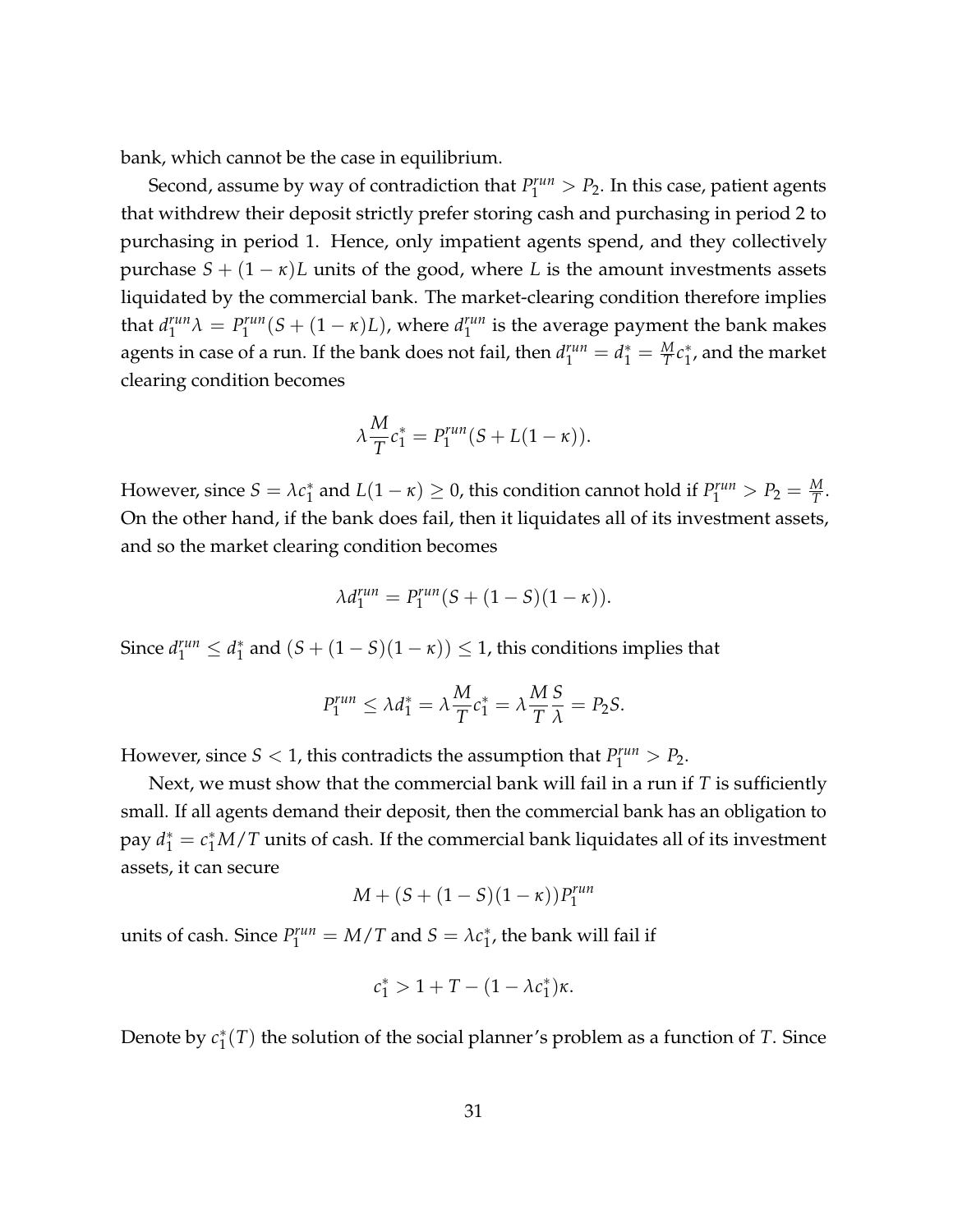bank, which cannot be the case in equilibrium.

Second, assume by way of contradiction that  $P_1^{run} > P_2$ . In this case, patient agents that withdrew their deposit strictly prefer storing cash and purchasing in period 2 to purchasing in period 1. Hence, only impatient agents spend, and they collectively purchase  $S + (1 - \kappa)L$  units of the good, where *L* is the amount investments assets liquidated by the commercial bank. The market-clearing condition therefore implies that *d run*  $I_1^{run} \lambda = P_1^{run}$  $\int_1^{run}(S+(1-\kappa)L)$ , where  $d_1^{run}$  $_1^{run}$  is the average payment the bank makes agents in case of a run. If the bank does not fail, then  $d_1^{run} = d_1^* = \frac{M}{T} c_1^*$  $_1^*$ , and the market clearing condition becomes

$$
\lambda \frac{M}{T} c_1^* = P_1^{run}(S + L(1 - \kappa)).
$$

However, since  $S = \lambda c_1^*$  $\frac{1}{1}$  and  $L(1 - \kappa) \geq 0$ , this condition cannot hold if  $P_1^{run} > P_2 = \frac{M}{T}$ . On the other hand, if the bank does fail, then it liquidates all of its investment assets, and so the market clearing condition becomes

$$
\lambda d_1^{run} = P_1^{run}(S + (1 - S)(1 - \kappa)).
$$

Since  $d_1^{run} \leq d_1^*$  $\binom{*}{1}$  and  $(S + (1 - S)(1 - \kappa)) \leq 1$ , this conditions implies that

$$
P_1^{run} \le \lambda d_1^* = \lambda \frac{M}{T} c_1^* = \lambda \frac{M}{T} \frac{S}{\lambda} = P_2 S.
$$

However, since  $S < 1$ , this contradicts the assumption that  $P_1^{run} > P_2$ .

Next, we must show that the commercial bank will fail in a run if *T* is sufficiently small. If all agents demand their deposit, then the commercial bank has an obligation to pay  $d_1^* = c_1^* M / T$  units of cash. If the commercial bank liquidates all of its investment assets, it can secure

$$
M + (S + (1 - S)(1 - \kappa))P_1^{run}
$$

units of cash. Since  $P_1^{run} = M/T$  and  $S = \lambda c_1^*$  $_1^*$ , the bank will fail if

$$
c_1^* > 1 + T - (1 - \lambda c_1^*)\kappa.
$$

Denote by *c* ∗  $_1^*(T)$  the solution of the social planner's problem as a function of *T*. Since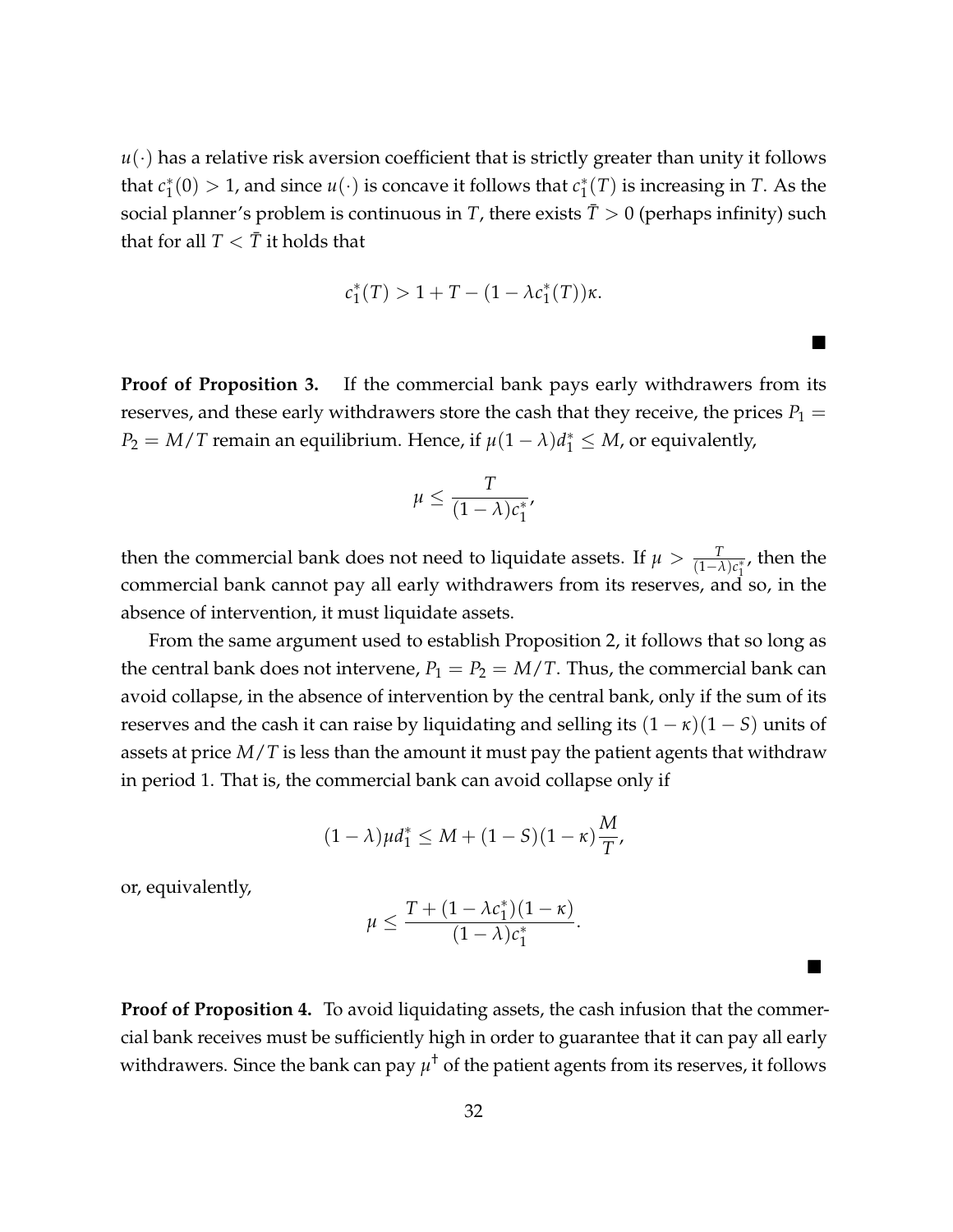$u(\cdot)$  has a relative risk aversion coefficient that is strictly greater than unity it follows that *c* ∗  $\chi_1^*(0) > 1$ , and since  $u(\cdot)$  is concave it follows that  $c_1^*$  $j_1^*(T)$  is increasing in *T*. As the social planner's problem is continuous in *T*, there exists  $\bar{T} > 0$  (perhaps infinity) such that for all  $T < \overline{T}$  it holds that

$$
c_1^*(T) > 1 + T - (1 - \lambda c_1^*(T))\kappa.
$$

П

 $\blacksquare$ 

**Proof of Proposition [3.](#page-15-1)** If the commercial bank pays early withdrawers from its reserves, and these early withdrawers store the cash that they receive, the prices  $P_1 =$  $P_2 = M/T$  remain an equilibrium. Hence, if  $\mu(1 - \lambda)d_1^* \leq M$ , or equivalently,

$$
\mu \leq \frac{T}{(1-\lambda)c_1^*},
$$

then the commercial bank does not need to liquidate assets. If  $\mu > \frac{T}{(1-\lambda)c_1^*}$ , then the commercial bank cannot pay all early withdrawers from its reserves, and so, in the absence of intervention, it must liquidate assets.

From the same argument used to establish Proposition [2,](#page-13-2) it follows that so long as the central bank does not intervene,  $P_1 = P_2 = M/T$ . Thus, the commercial bank can avoid collapse, in the absence of intervention by the central bank, only if the sum of its reserves and the cash it can raise by liquidating and selling its  $(1 - \kappa)(1 - S)$  units of assets at price *M*/*T* is less than the amount it must pay the patient agents that withdraw in period 1. That is, the commercial bank can avoid collapse only if

$$
(1 - \lambda)\mu d_1^* \le M + (1 - S)(1 - \kappa)\frac{M}{T},
$$

or, equivalently,

$$
\mu \leq \frac{T+(1-\lambda c_1^*)(1-\kappa)}{(1-\lambda)c_1^*}
$$

.

**Proof of Proposition [4.](#page-15-2)** To avoid liquidating assets, the cash infusion that the commercial bank receives must be sufficiently high in order to guarantee that it can pay all early withdrawers. Since the bank can pay  $\mu^{\dagger}$  of the patient agents from its reserves*,* it follows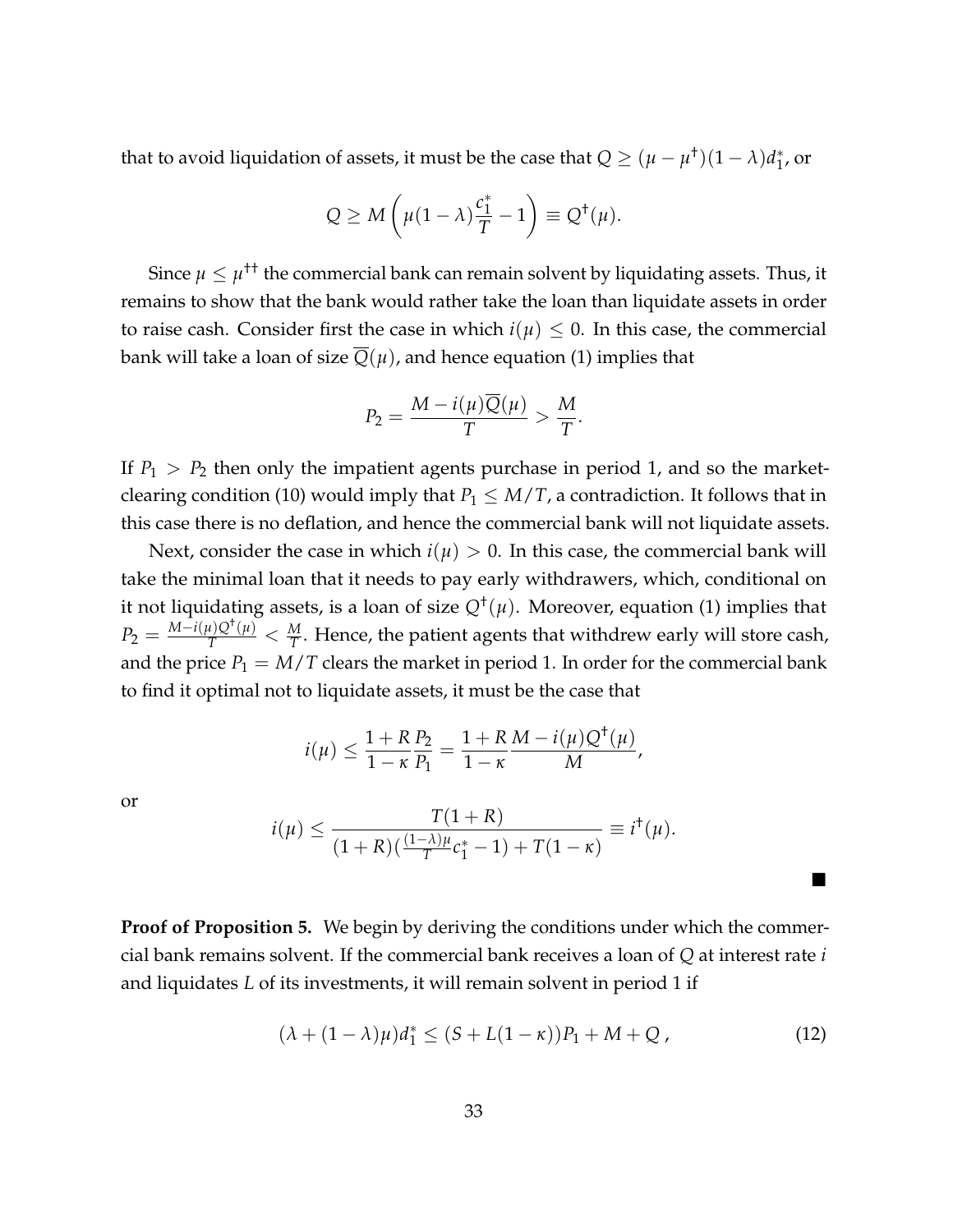that to avoid liquidation of assets, it must be the case that  $Q \ge (\mu-\mu^{\dagger})(1-\lambda)d_{1}^{\ast}$  $_1^*$ , or

$$
Q \ge M\left(\mu(1-\lambda)\frac{c_1^*}{T} - 1\right) \equiv Q^{\dagger}(\mu).
$$

Since  $\mu \leq \mu^{+\dagger}$  the commercial bank can remain solvent by liquidating assets. Thus, it remains to show that the bank would rather take the loan than liquidate assets in order to raise cash. Consider first the case in which  $i(\mu) \leq 0$ . In this case, the commercial bank will take a loan of size  $\overline{Q}(\mu)$ , and hence equation [\(1\)](#page-9-2) implies that

$$
P_2 = \frac{M - i(\mu)Q(\mu)}{T} > \frac{M}{T}.
$$

If  $P_1 > P_2$  then only the impatient agents purchase in period 1, and so the market-clearing condition [\(10\)](#page-24-1) would imply that  $P_1 \leq M/T$ , a contradiction. It follows that in this case there is no deflation, and hence the commercial bank will not liquidate assets.

Next, consider the case in which  $i(\mu) > 0$ . In this case, the commercial bank will take the minimal loan that it needs to pay early withdrawers, which, conditional on it not liquidating assets, is a loan of size *Q*† (*µ*). Moreover, equation [\(1\)](#page-9-2) implies that  $P_2=\frac{M-i(\mu)Q^{\dagger}(\mu)}{T}<\frac{M}{T}.$  Hence, the patient agents that withdrew early will store cash, and the price  $P_1 = M/T$  clears the market in period 1. In order for the commercial bank to find it optimal not to liquidate assets, it must be the case that

$$
i(\mu) \le \frac{1+R}{1-\kappa} \frac{P_2}{P_1} = \frac{1+R}{1-\kappa} \frac{M - i(\mu)Q^{\dagger}(\mu)}{M},
$$

or

$$
i(\mu) \le \frac{T(1+R)}{(1+R)(\frac{(1-\lambda)\mu}{T}c_1^*-1)+T(1-\kappa)} \equiv i^{\dagger}(\mu).
$$

**Proof of Proposition [5.](#page-16-0)** We begin by deriving the conditions under which the commercial bank remains solvent. If the commercial bank receives a loan of *Q* at interest rate *i* and liquidates *L* of its investments, it will remain solvent in period 1 if

<span id="page-33-0"></span>
$$
(\lambda + (1 - \lambda)\mu)d_1^* \le (S + L(1 - \kappa))P_1 + M + Q,
$$
\n(12)

 $\blacksquare$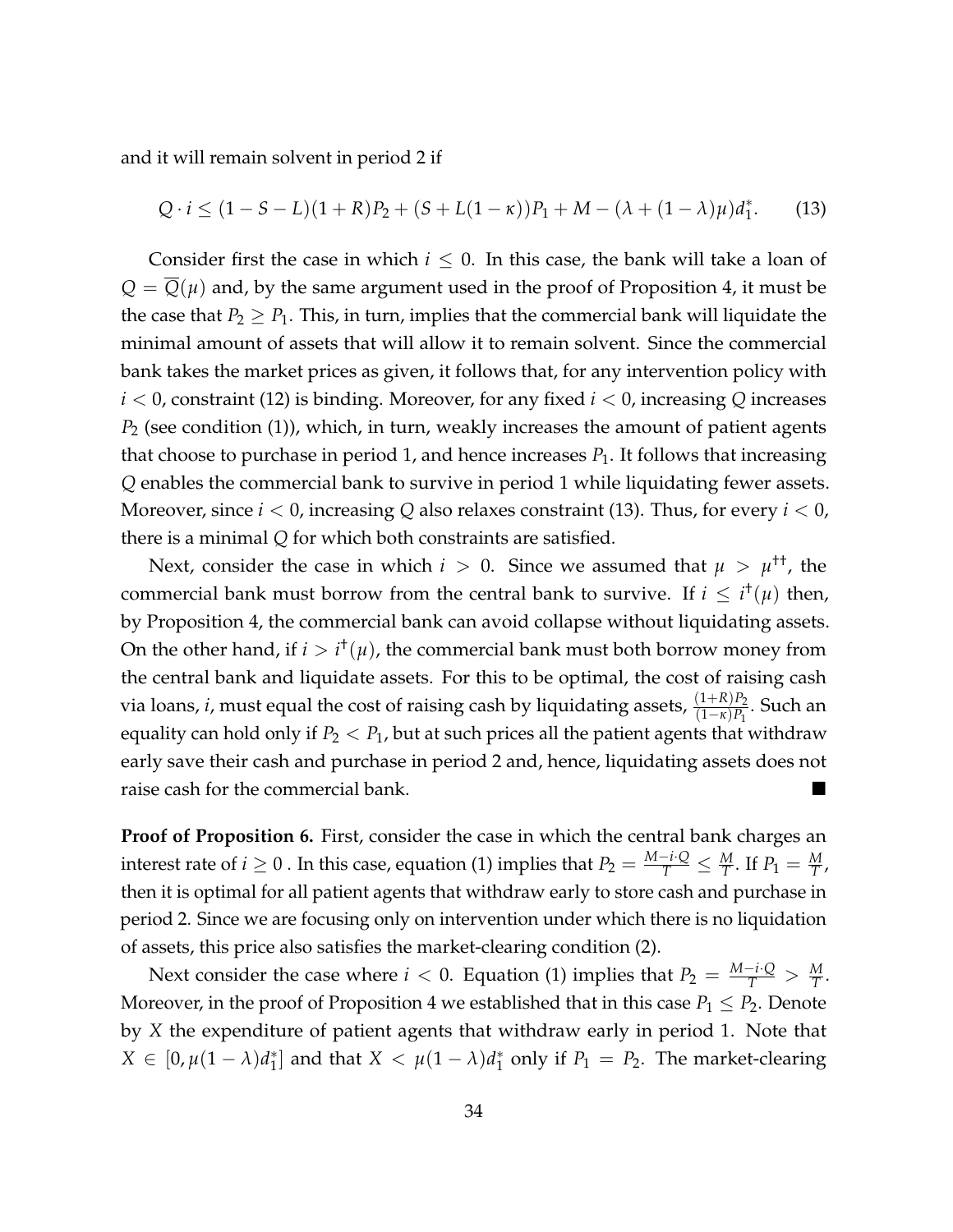and it will remain solvent in period 2 if

<span id="page-34-0"></span>
$$
Q \cdot i \le (1 - S - L)(1 + R)P_2 + (S + L(1 - \kappa))P_1 + M - (\lambda + (1 - \lambda)\mu)d_1^*.
$$
 (13)

Consider first the case in which  $i \leq 0$ . In this case, the bank will take a loan of  $Q = Q(\mu)$  and, by the same argument used in the proof of Proposition [4,](#page-15-2) it must be the case that  $P_2 \geq P_1$ . This, in turn, implies that the commercial bank will liquidate the minimal amount of assets that will allow it to remain solvent. Since the commercial bank takes the market prices as given, it follows that, for any intervention policy with *i* < 0, constraint [\(12\)](#page-33-0) is binding. Moreover, for any fixed *i* < 0, increasing *Q* increases *P*<sup>2</sup> (see condition [\(1\)](#page-9-2)), which, in turn, weakly increases the amount of patient agents that choose to purchase in period 1, and hence increases  $P_1$ . It follows that increasing *Q* enables the commercial bank to survive in period 1 while liquidating fewer assets. Moreover, since *i* < 0, increasing *Q* also relaxes constraint [\(13\)](#page-34-0). Thus, for every *i* < 0, there is a minimal *Q* for which both constraints are satisfied.

Next, consider the case in which  $i > 0$ . Since we assumed that  $\mu > \mu^{++}$ , the commercial bank must borrow from the central bank to survive. If  $i \leq i^{\dagger}(\mu)$  then, by Proposition [4,](#page-15-2) the commercial bank can avoid collapse without liquidating assets. On the other hand, if  $i > i^{\dagger}(\mu)$ , the commercial bank must both borrow money from the central bank and liquidate assets. For this to be optimal, the cost of raising cash via loans, *i*, must equal the cost of raising cash by liquidating assets,  $\frac{(1+R)P_2}{(1-\kappa)P_1}$ . Such an equality can hold only if  $P_2 < P_1$ , but at such prices all the patient agents that withdraw early save their cash and purchase in period 2 and, hence, liquidating assets does not raise cash for the commercial bank.

**Proof of Proposition [6.](#page-17-0)** First, consider the case in which the central bank charges an interest rate of  $i \geq 0$  . In this case, equation [\(1\)](#page-9-2) implies that  $P_2 = \frac{M-i\cdot Q}{T} \leq \frac{M}{T}$ . If  $P_1 = \frac{M}{T}$ , then it is optimal for all patient agents that withdraw early to store cash and purchase in period 2. Since we are focusing only on intervention under which there is no liquidation of assets, this price also satisfies the market-clearing condition [\(2\)](#page-9-1).

Next consider the case where *i* < 0. Equation [\(1\)](#page-9-2) implies that  $P_2 = \frac{M-i\Omega}{T} > \frac{M}{T}$ . Moreover, in the proof of Proposition [4](#page-15-2) we established that in this case  $P_1 \leq P_2$ . Denote by *X* the expenditure of patient agents that withdraw early in period 1. Note that  $X \in [0, \mu(1-\lambda)d_1^*$  $\mu_{1}^{*}$  and that  $X < \mu(1 - \lambda)d_{1}^{*}$  $_1^*$  only if  $P_1 = P_2$ . The market-clearing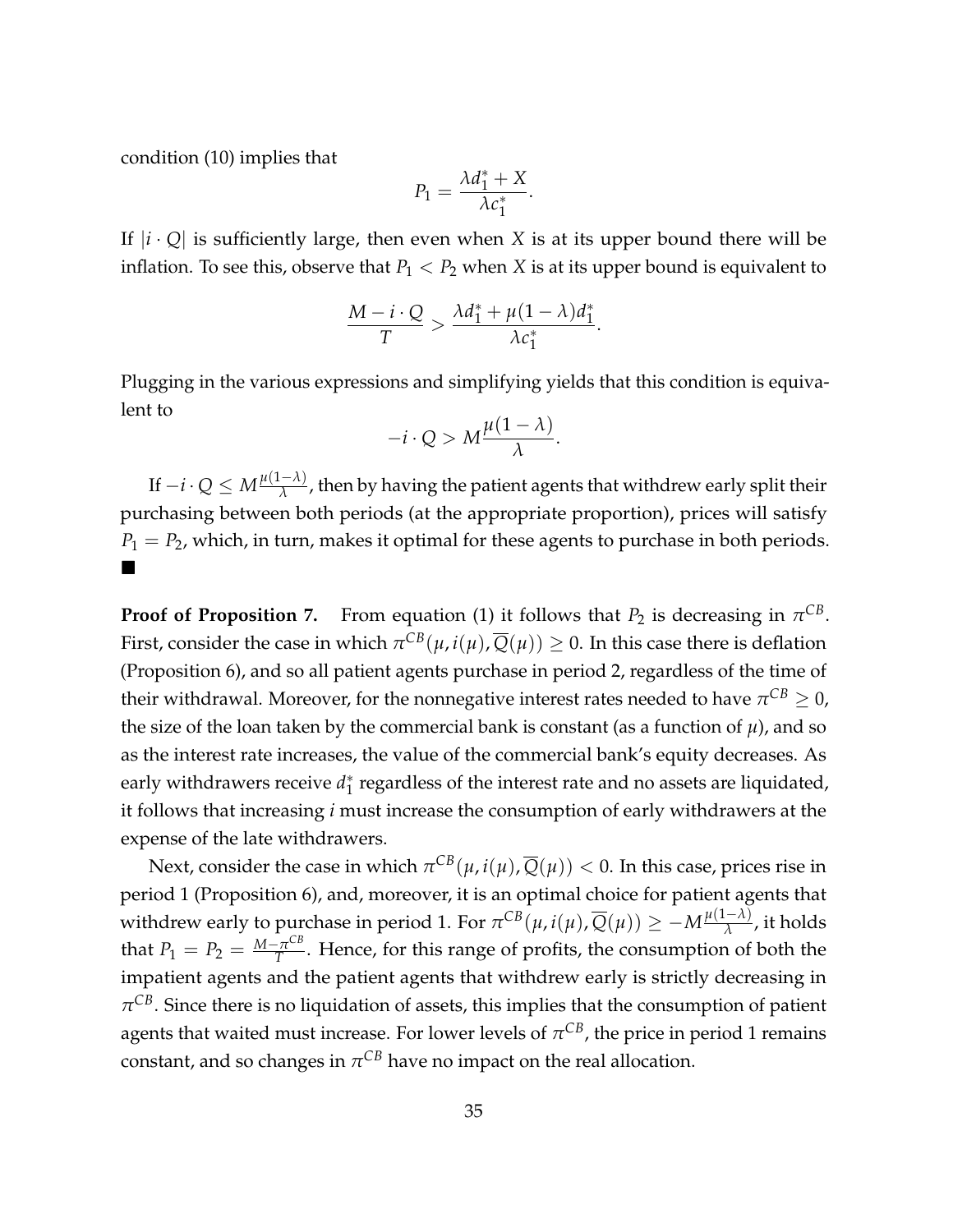condition [\(10\)](#page-24-1) implies that

$$
P_1 = \frac{\lambda d_1^* + X}{\lambda c_1^*}.
$$

If  $|i \cdot Q|$  is sufficiently large, then even when *X* is at its upper bound there will be inflation. To see this, observe that  $P_1 < P_2$  when *X* is at its upper bound is equivalent to

$$
\frac{M-i\cdot Q}{T} > \frac{\lambda d_1^* + \mu(1-\lambda)d_1^*}{\lambda c_1^*}.
$$

Plugging in the various expressions and simplifying yields that this condition is equivalent to

$$
-i\cdot Q > M\frac{\mu(1-\lambda)}{\lambda}.
$$

 $\text{If } -i \cdot Q \leq M \frac{\mu(1-\lambda)}{\lambda}$  $\frac{(-\lambda)}{\lambda}$ , then by having the patient agents that withdrew early split their purchasing between both periods (at the appropriate proportion), prices will satisfy  $P_1 = P_2$ , which, in turn, makes it optimal for these agents to purchase in both periods.  $\blacksquare$ 

**Proof of Proposition [7.](#page-19-2)** From equation [\(1\)](#page-9-2) it follows that  $P_2$  is decreasing in  $\pi^{CB}$ . First, consider the case in which  $\pi^{CB}(\mu,i(\mu),\overline{Q}(\mu))\geq 0.$  In this case there is deflation (Proposition [6\)](#page-17-0), and so all patient agents purchase in period 2, regardless of the time of their withdrawal. Moreover, for the nonnegative interest rates needed to have  $\pi^{CB}\geq 0$ , the size of the loan taken by the commercial bank is constant (as a function of  $\mu$ ), and so as the interest rate increases, the value of the commercial bank's equity decreases. As early withdrawers receive *d*<sup>\*</sup><sub>1</sub>  $_1^\ast$  regardless of the interest rate and no assets are liquidated, it follows that increasing *i* must increase the consumption of early withdrawers at the expense of the late withdrawers.

Next, consider the case in which  $\pi^{CB}(\mu,i(\mu),\overline{Q}(\mu)) < 0.$  In this case, prices rise in period 1 (Proposition [6\)](#page-17-0), and, moreover, it is an optimal choice for patient agents that withdrew early to purchase in period 1. For  $\pi^{CB}(\mu, i(\mu), \overline{Q}(\mu)) \geq -M\frac{\mu(1-\lambda)}{\lambda}$  $\frac{(-\lambda)}{\lambda}$ , it holds that  $P_1 = P_2 = \frac{M - \pi^{CB}}{T}$  $T^{\overline{\text{2}}\text{TE}}$ . Hence, for this range of profits, the consumption of both the impatient agents and the patient agents that withdrew early is strictly decreasing in  $\pi^{CB}.$  Since there is no liquidation of assets, this implies that the consumption of patient agents that waited must increase. For lower levels of  $\pi^{CB}$ , the price in period 1 remains  $\epsilon$ onstant, and so changes in  $\pi^{CB}$  have no impact on the real allocation.